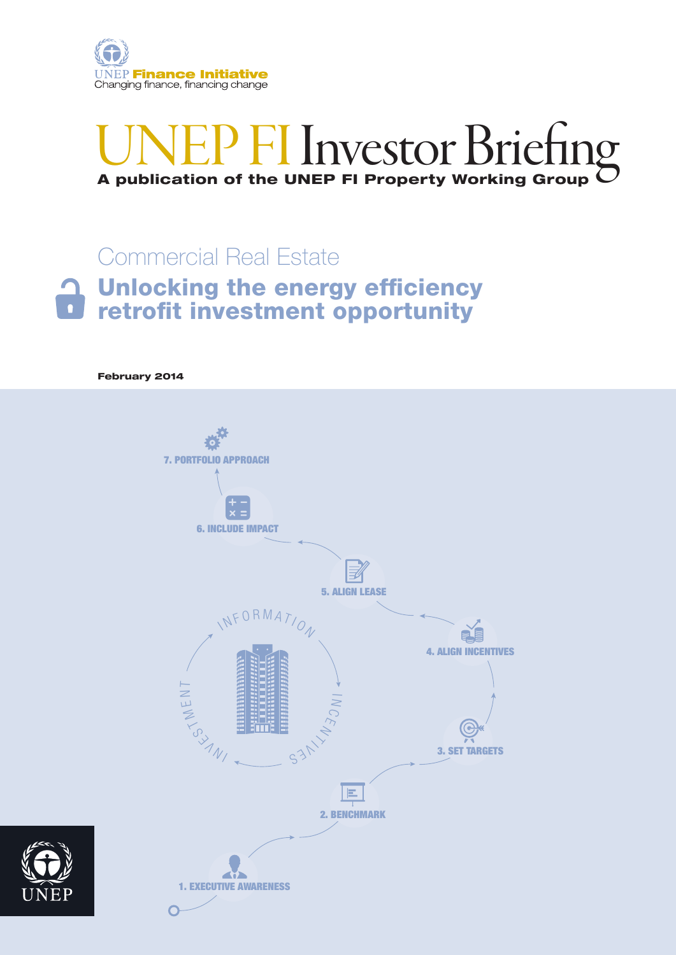

# UNEP FI Investor Briefin <sup>1</sup> FI Investor Briefin

## Unlocking the energy efficiency retrofit investment opportunity Commercial Real Estate

February 2014



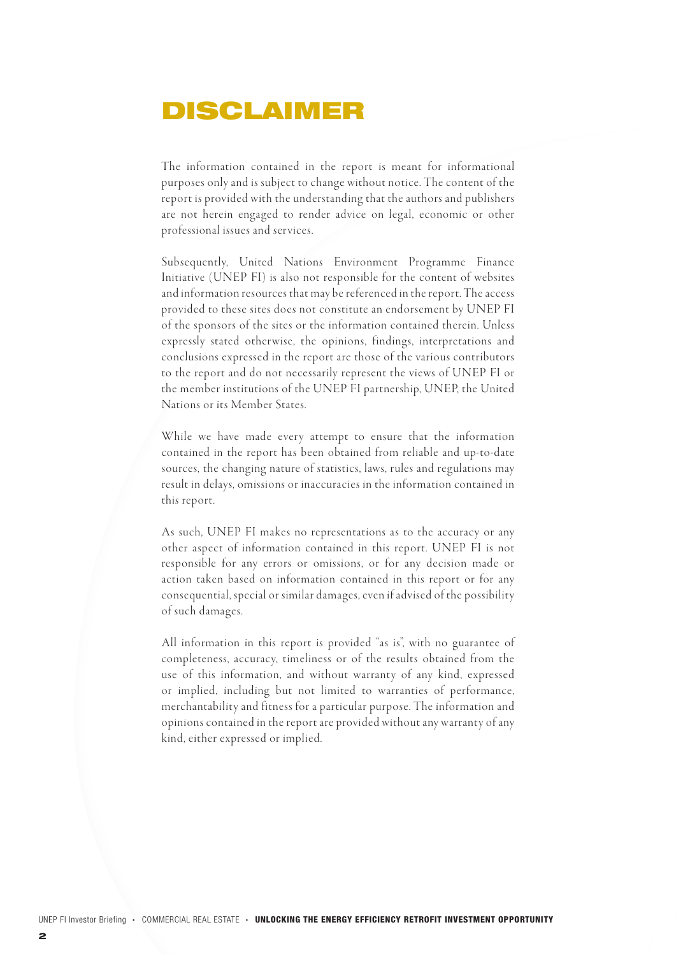## DISCLAIMER

The information contained in the report is meant for informational purposes only and is subject to change without notice. The content of the report is provided with the understanding that the authors and publishers are not herein engaged to render advice on legal, economic or other professional issues and services.

Subsequently, United Nations Environment Programme Finance Initiative (UNEP FI) is also not responsible for the content of websites and information resources that may be referenced in the report. The access provided to these sites does not constitute an endorsement by UNEP FI of the sponsors of the sites or the information contained therein. Unless expressly stated otherwise, the opinions, findings, interpretations and conclusions expressed in the report are those of the various contributors to the report and do not necessarily represent the views of UNEP FI or the member institutions of the UNEP FI partnership, UNEP, the United Nations or its Member States.

While we have made every attempt to ensure that the information contained in the report has been obtained from reliable and up-to-date sources, the changing nature of statistics, laws, rules and regulations may result in delays, omissions or inaccuracies in the information contained in this report.

As such, UNEP FI makes no representations as to the accuracy or any other aspect of information contained in this report. UNEP FI is not responsible for any errors or omissions, or for any decision made or action taken based on information contained in this report or for any consequential, special or similar damages, even if advised of the possibility of such damages.

All information in this report is provided "as is", with no guarantee of completeness, accuracy, timeliness or of the results obtained from the use of this information, and without warranty of any kind, expressed or implied, including but not limited to warranties of performance, merchantability and fitness for a particular purpose. The information and opinions contained in the report are provided without any warranty of any kind, either expressed or implied.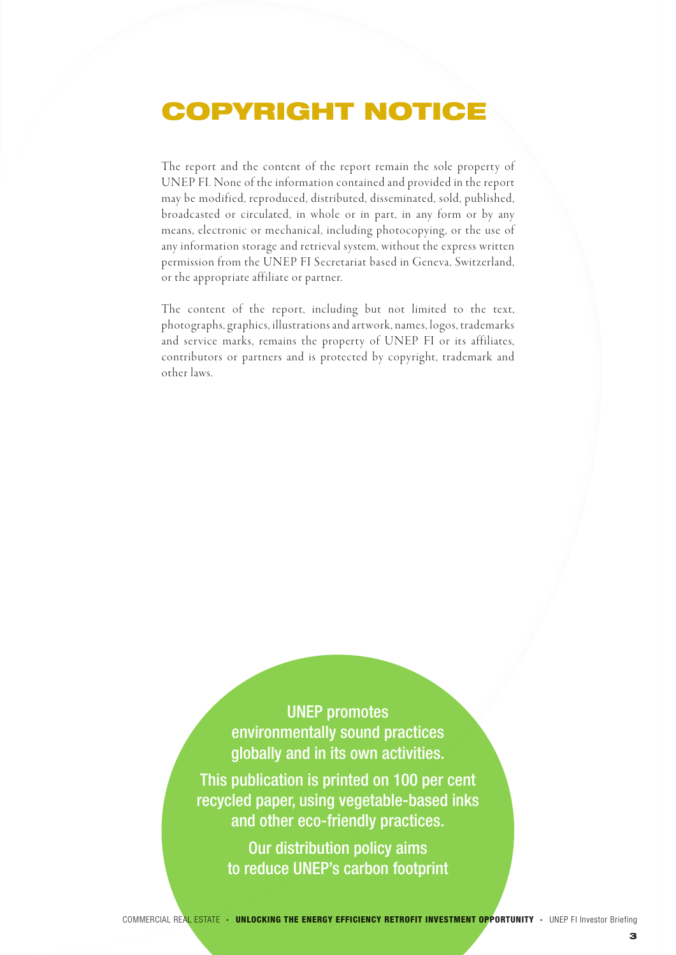## COPYRIGHT NOTICE

The report and the content of the report remain the sole property of UNEP FI. None of the information contained and provided in the report may be modified, reproduced, distributed, disseminated, sold, published, broadcasted or circulated, in whole or in part, in any form or by any means, electronic or mechanical, including photocopying, or the use of any information storage and retrieval system, without the express written permission from the UNEP FI Secretariat based in Geneva, Switzerland, or the appropriate affiliate or partner.

The content of the report, including but not limited to the text, photographs, graphics, illustrations and art work, names, logos, trademarks and service marks, remains the property of UNEP FI or its affiliates, contributors or partners and is protected by copyright, trademark and other laws.

> UNEP promotes environmentally sound practices globally and in its own activities.

This publication is printed on 100 per cent recycled paper, using vegetable-based inks and other eco-friendly practices.

> Our distribution policy aims to reduce UNEP's carbon footprint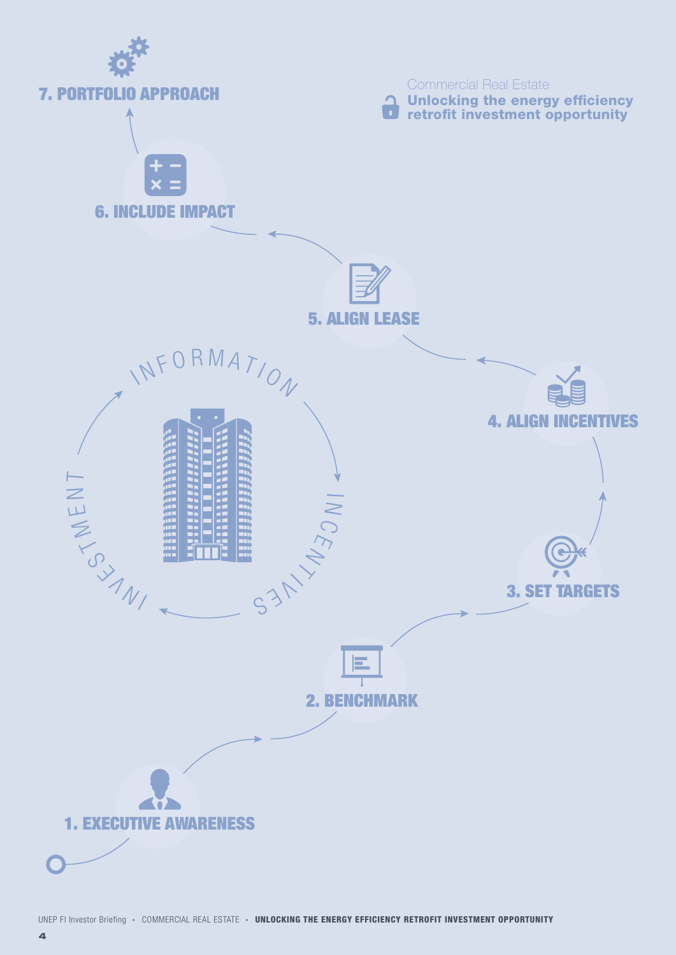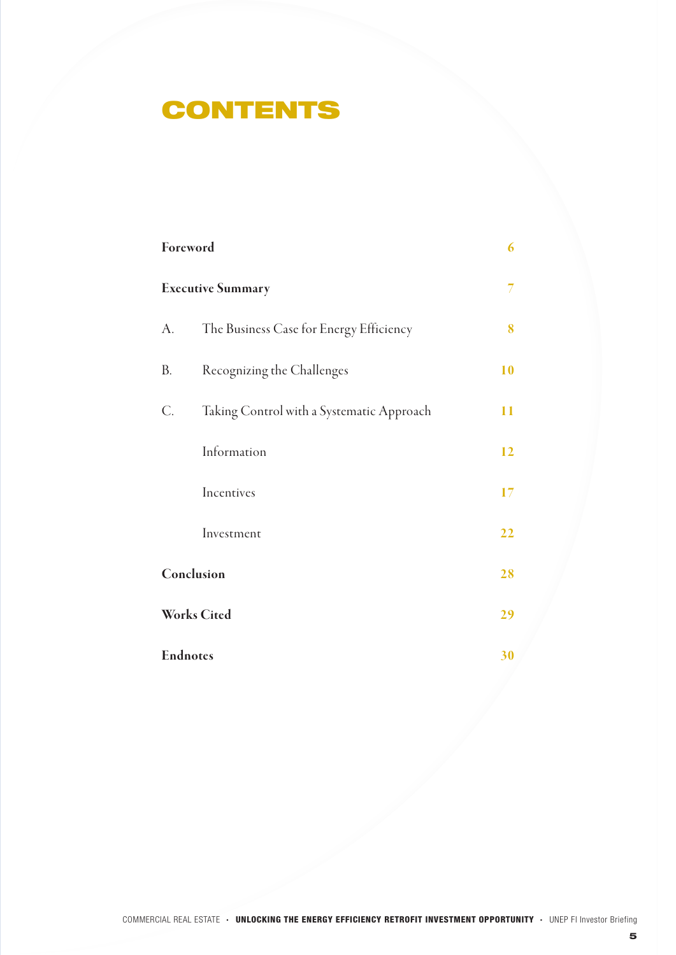## **CONTENTS**

| Foreword                 | 6                                         |    |
|--------------------------|-------------------------------------------|----|
| <b>Executive Summary</b> |                                           |    |
| A.                       | The Business Case for Energy Efficiency   | 8  |
| В.                       | Recognizing the Challenges                | 10 |
| С.                       | Taking Control with a Systematic Approach | 11 |
|                          | Information                               | 12 |
|                          | Incentives                                | 17 |
|                          | Investment                                | 22 |
| Conclusion               | 28                                        |    |
|                          | <b>Works Cited</b>                        | 29 |
|                          | <b>Endnotes</b>                           | 30 |

5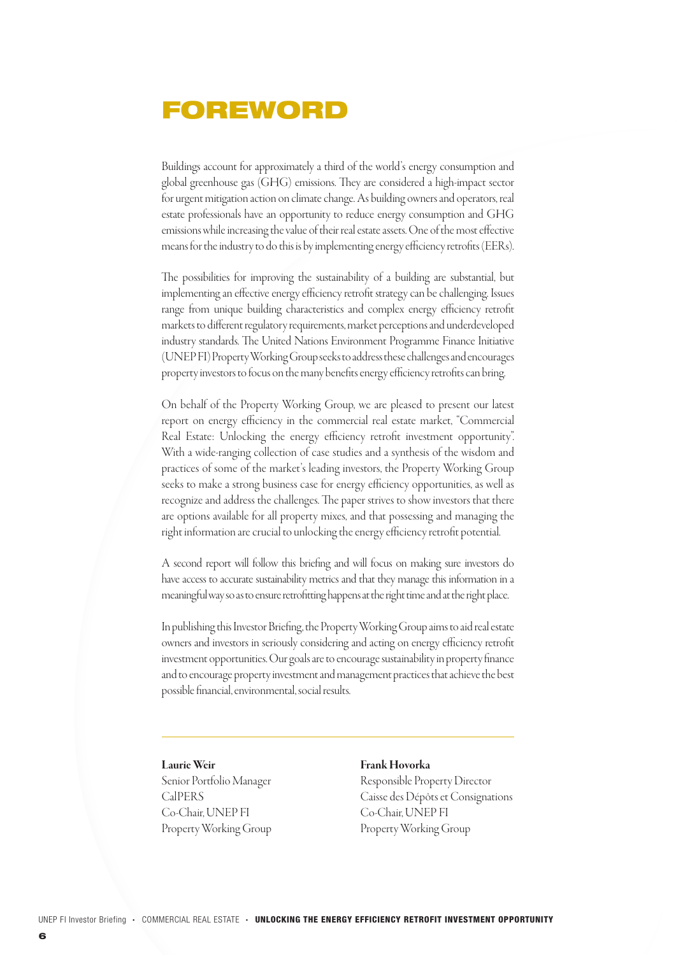### FOREWORD

Buildings account for approximately a third of the world's energy consumption and global greenhouse gas (GHG) emissions. They are considered a high-impact sector for urgent mitigation action on climate change. As building owners and operators, real estate professionals have an opportunity to reduce energy consumption and GHG emissions while increasing the value of their real estate assets. One of the most effective means for the industry to do this is by implementing energy efficiency retrofits (EERs).

The possibilities for improving the sustainability of a building are substantial, but implementing an effective energy efficiency retrofit strategy can be challenging. Issues range from unique building characteristics and complex energy efficiency retrofit markets to different regulatory requirements, market perceptions and underdeveloped industry standards. The United Nations Environment Programme Finance Initiative (UNEP FI) Property Working Group seeks to address these challenges and encourages property investors to focus on the many benefits energy efficiency retrofits can bring.

On behalf of the Property Working Group, we are pleased to present our latest report on energy efficiency in the commercial real estate market, "Commercial Real Estate: Unlocking the energy efficiency retrofit investment opportunity". With a wide-ranging collection of case studies and a synthesis of the wisdom and practices of some of the market's leading investors, the Property Working Group seeks to make a strong business case for energy efficiency opportunities, as well as recognize and address the challenges. The paper strives to show investors that there are options available for all property mixes, and that possessing and managing the right information are crucial to unlocking the energy efficiency retrofit potential.

A second report will follow this briefing and will focus on making sure investors do have access to accurate sustainability metrics and that they manage this information in a meaningful way so as to ensure retrofitting happens at the right time and at the right place.

In publishing this Investor Briefing, the Property Working Group aims to aid real estate owners and investors in seriously considering and acting on energy efficiency retrofit investment opportunities. Our goals are to encourage sustainability in property finance and to encourage property investment and management practices that achieve the best possible financial, environmental, social results.

#### Laurie Weir

Senior Portfolio Manager CalPERS Co-Chair, UNEP FI Property Working Group

#### Frank Hovorka

Responsible Property Director Caisse des Dépôts et Consignations Co-Chair, UNEP FI Property Working Group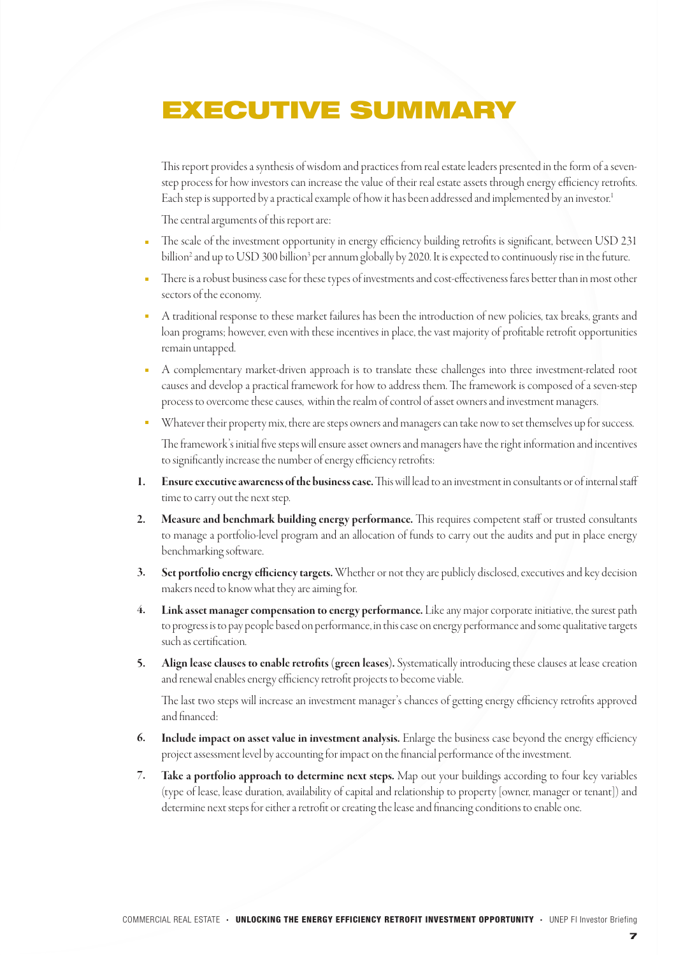# EXECUTIVE SUMMARY

This report provides a synthesis of wisdom and practices from real estate leaders presented in the form of a sevenstep process for how investors can increase the value of their real estate assets through energy efficiency retrofits. Each step is supported by a practical example of how it has been addressed and implemented by an investor.<sup>1</sup>

The central arguments of this report are:

- The scale of the investment opportunity in energy efficiency building retrofits is significant, between USD 231 billion<sup>2</sup> and up to USD 300 billion<sup>3</sup> per annum globally by 2020. It is expected to continuously rise in the future.
- There is a robust business case for these types of investments and cost-effectiveness fares better than in most other sectors of the economy.
- A traditional response to these market failures has been the introduction of new policies, tax breaks, grants and loan programs; however, even with these incentives in place, the vast majority of profitable retrofit opportunities remain untapped.
- A complementary market-driven approach is to translate these challenges into three investment-related root causes and develop a practical framework for how to address them. The framework is composed of a seven-step process to overcome these causes, within the realm of control of asset owners and investment managers.
- Whatever their property mix, there are steps owners and managers can take now to set themselves up for success.

The framework's initial five steps will ensure asset owners and managers have the right information and incentives to significantly increase the number of energy efficiency retrofits:

- Ensure executive awareness of the business case. This will lead to an investment in consultants or of internal staff time to carry out the next step. 1.
- Measure and benchmark building energy performance. This requires competent staff or trusted consultants to manage a portfolio-level program and an allocation of funds to carry out the audits and put in place energy benchmarking software. 2.
- Set portfolio energy efficiency targets. Whether or not they are publicly disclosed, executives and key decision makers need to know what they are aiming for. 3.
- Link asset manager compensation to energy performance. Like any major corporate initiative, the surest path to progress is to pay people based on performance, in this case on energy performance and some qualitative targets such as certification. 4.
- Align lease clauses to enable retrofits (green leases). Systematically introducing these clauses at lease creation and renewal enables energy efficiency retrofit projects to become viable. 5.

The last two steps will increase an investment manager's chances of getting energy efficiency retrofits approved and financed:

- Include impact on asset value in investment analysis. Enlarge the business case beyond the energy efficiency project assessment level by accounting for impact on the financial performance of the investment. 6.
- Take a portfolio approach to determine next steps. Map out your buildings according to four key variables (type of lease, lease duration, availability of capital and relationship to property [owner, manager or tenant]) and determine next steps for either a retrofit or creating the lease and financing conditions to enable one. 7.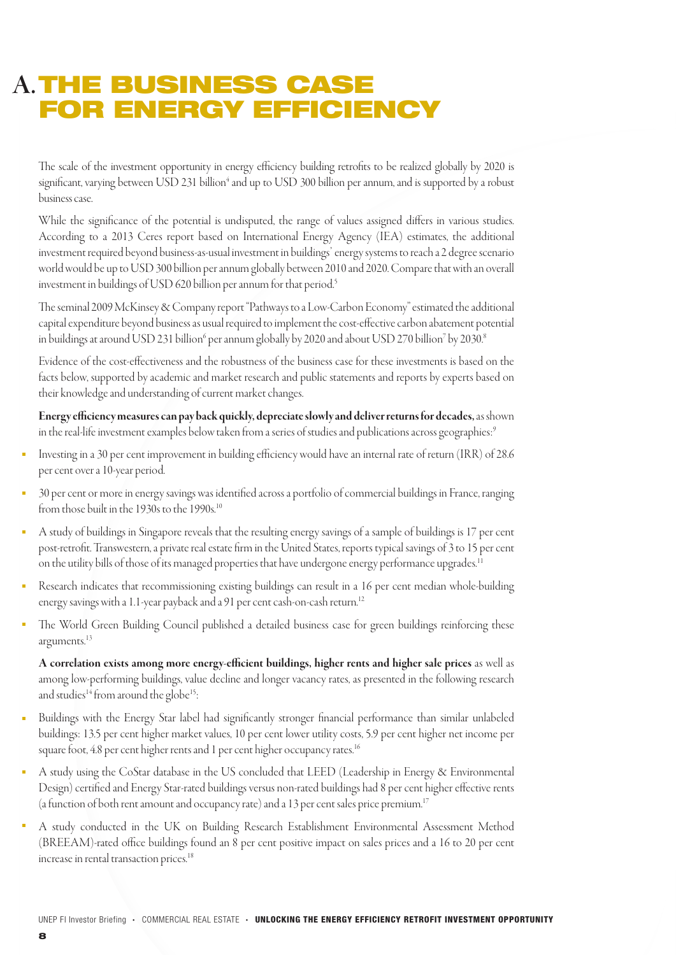## A. THE BUSINESS CASE FOR ENERGY EFFICIENCY

The scale of the investment opportunity in energy efficiency building retrofits to be realized globally by 2020 is significant, varying between USD 231 billion<sup>4</sup> and up to USD 300 billion per annum, and is supported by a robust business case.

While the significance of the potential is undisputed, the range of values assigned differs in various studies. According to a 2013 Ceres report based on International Energy Agency (IEA) estimates, the additional investment required beyond business-as-usual investment in buildings' energy systems to reach a 2 degree scenario world would be up to USD 300 billion per annum globally between 2010 and 2020. Compare that with an overall investment in buildings of USD 620 billion per annum for that period.<sup>5</sup>

The seminal 2009 McKinsey & Company report "Pathways to a Low-Carbon Economy" estimated the additional capital expenditure beyond business as usual required to implement the cost-effective carbon abatement potential in buildings at around USD 231 billion<sup>6</sup> per annum globally by 2020 and about USD 270 billion<sup>7</sup> by 2030.8

Evidence of the cost-effectiveness and the robustness of the business case for these investments is based on the facts below, supported by academic and market research and public statements and reports by experts based on their knowledge and understanding of current market changes.

Energy efficiency measures can pay back quickly, depreciate slowly and deliver returns for decades, as shown in the real-life investment examples below taken from a series of studies and publications across geographies:<sup>9</sup>

- Investing in a 30 per cent improvement in building efficiency would have an internal rate of return (IRR) of 28.6 per cent over a 10-year period.
- 30 per cent or more in energy savings was identified across a portfolio of commercial buildings in France, ranging from those built in the 1930s to the 1990s.<sup>10</sup>
- A study of buildings in Singapore reveals that the resulting energy savings of a sample of buildings is 17 per cent post-retrofit. Transwestern, a private real estate firm in the United States, reports typical savings of 3 to 15 per cent on the utility bills of those of its managed properties that have undergone energy performance upgrades.<sup>11</sup>
- $\blacksquare$ Research indicates that recommissioning existing buildings can result in a 16 per cent median whole-building energy savings with a 1.1-year payback and a 91 per cent cash-on-cash return.<sup>12</sup>
- $\blacksquare$ The World Green Building Council published a detailed business case for green buildings reinforcing these arguments.<sup>13</sup>

A correlation exists among more energy-efficient buildings, higher rents and higher sale prices as well as among low-performing buildings, value decline and longer vacancy rates, as presented in the following research and studies<sup>14</sup> from around the globe<sup>15</sup>:

- Buildings with the Energy Star label had significantly stronger financial performance than similar unlabeled  $\blacksquare$ buildings: 13.5 per cent higher market values, 10 per cent lower utility costs, 5.9 per cent higher net income per square foot, 4.8 per cent higher rents and 1 per cent higher occupancy rates.<sup>16</sup>
- A study using the CoStar database in the US concluded that LEED (Leadership in Energy & Environmental Design) certified and Energy Star-rated buildings versus non-rated buildings had 8 per cent higher effective rents (a function of both rent amount and occupancy rate) and a 13 per cent sales price premium.17
- A study conducted in the UK on Building Research Establishment Environmental Assessment Method (BREEAM)-rated office buildings found an 8 per cent positive impact on sales prices and a 16 to 20 per cent increase in rental transaction prices.<sup>18</sup>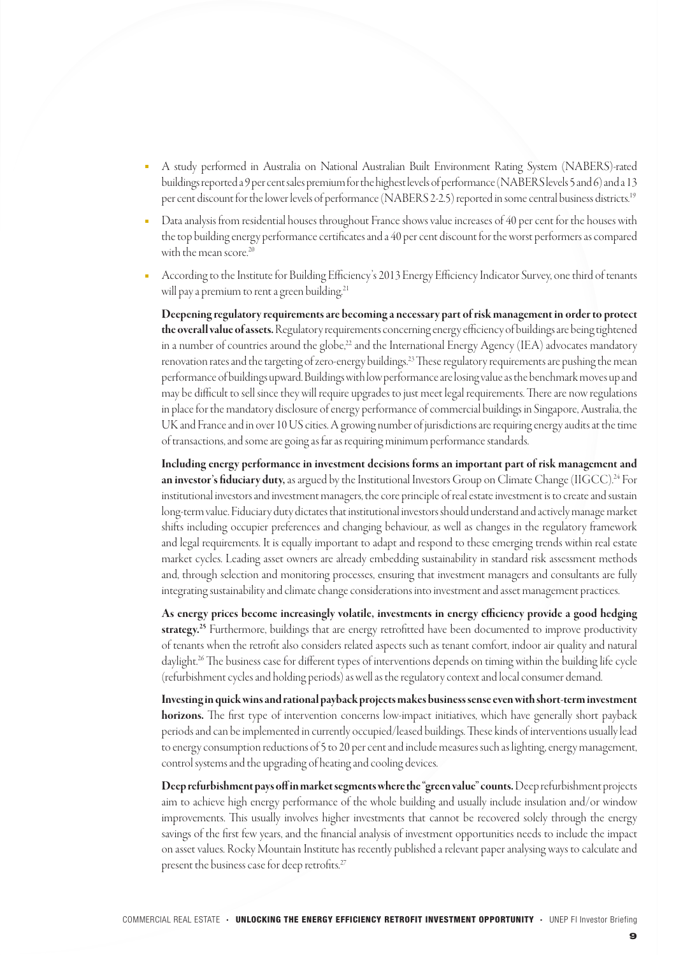- A study performed in Australia on National Australian Built Environment Rating System (NABERS)-rated buildings reported a 9 per cent sales premium for the highest levels of performance (NABERS levels 5 and 6) and a 13 per cent discount for the lower levels of performance (NABERS 2-2.5) reported in some central business districts.19
- Data analysis from residential houses throughout France shows value increases of 40 per cent for the houses with the top building energy performance certificates and a 40 per cent discount for the worst performers as compared with the mean score.<sup>20</sup>
- According to the Institute for Building Efficiency's 2013 Energy Efficiency Indicator Survey, one third of tenants will pay a premium to rent a green building.<sup>21</sup>

Deepening regulatory requirements are becoming a necessary part of risk management in order to protect the overall value of assets. Regulatory requirements concerning energy efficiency of buildings are being tightened in a number of countries around the globe,<sup>22</sup> and the International Energy Agency (IEA) advocates mandatory renovation rates and the targeting of zero-energy buildings.<sup>23</sup> These regulatory requirements are pushing the mean performance of buildings upward. Buildings with low performance are losing value as the benchmark moves up and may be difficult to sell since they will require upgrades to just meet legal requirements. There are now regulations in place for the mandatory disclosure of energy performance of commercial buildings in Singapore, Australia, the UK and France and in over 10 US cities. A growing number of jurisdictions are requiring energy audits at the time of transactions, and some are going as far as requiring minimum performance standards.

Including energy performance in investment decisions forms an important part of risk management and **an investor's fiduciary duty,** as argued by the Institutional Investors Group on Climate Change (IIGCC).<sup>24</sup> For institutional investors and investment managers, the core principle of real estate investment is to create and sustain long-term value. Fiduciary duty dictates that institutional investors should understand and actively manage market shifts including occupier preferences and changing behaviour, as well as changes in the regulatory framework and legal requirements. It is equally important to adapt and respond to these emerging trends within real estate market cycles. Leading asset owners are already embedding sustainability in standard risk assessment methods and, through selection and monitoring processes, ensuring that investment managers and consultants are fully integrating sustainability and climate change considerations into investment and asset management practices.

As energy prices become increasingly volatile, investments in energy efficiency provide a good hedging **strategy.<sup>25</sup>** Furthermore, buildings that are energy retrofitted have been documented to improve productivity of tenants when the retrofit also considers related aspects such as tenant comfort, indoor air quality and natural daylight.26 The business case for different types of interventions depends on timing within the building life cycle (refurbishment cycles and holding periods) as well as the regulatory context and local consumer demand.

Investing in quick wins and rational payback projects makes business sense even with short-term investment horizons. The first type of intervention concerns low-impact initiatives, which have generally short payback periods and can be implemented in currently occupied/leased buildings. These kinds of interventions usually lead to energy consumption reductions of 5 to 20 per cent and include measures such as lighting, energy management, control systems and the upgrading of heating and cooling devices.

Deep refurbishment pays off in market segments where the "green value" counts. Deep refurbishment projects aim to achieve high energy performance of the whole building and usually include insulation and/or window improvements. This usually involves higher investments that cannot be recovered solely through the energy savings of the first few years, and the financial analysis of investment opportunities needs to include the impact on asset values. Rocky Mountain Institute has recently published a relevant paper analysing ways to calculate and present the business case for deep retrofits.<sup>27</sup>

9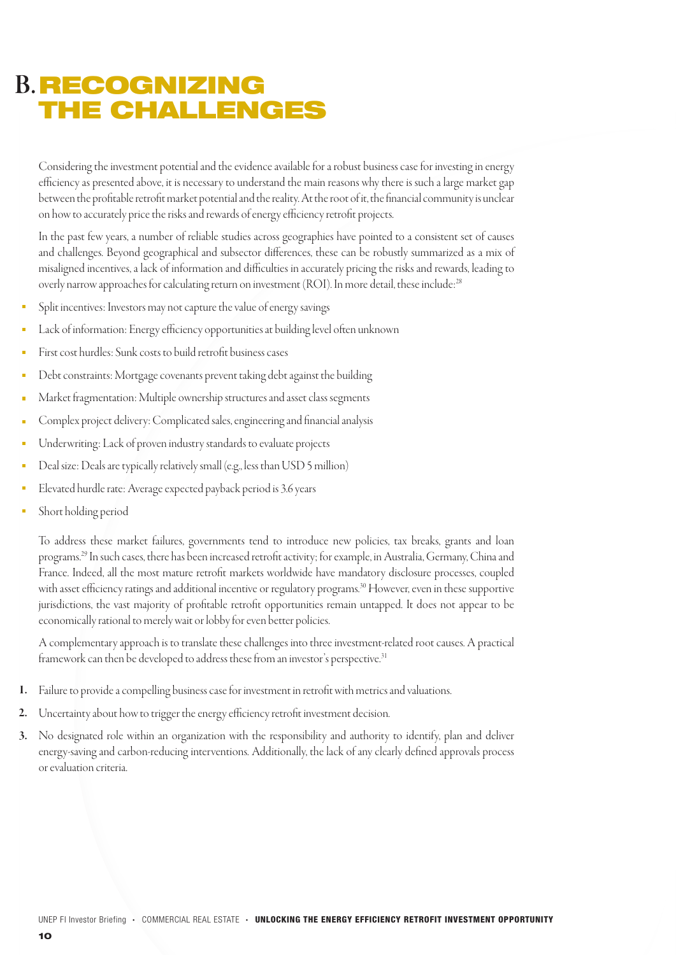## **B. RECOGNIZING** THE CHALLENGES

Considering the investment potential and the evidence available for a robust business case for investing in energy efficiency as presented above, it is necessary to understand the main reasons why there is such a large market gap between the profitable retrofit market potential and the reality. At the root of it, the financial community is unclear on how to accurately price the risks and rewards of energy efficiency retrofit projects.

In the past few years, a number of reliable studies across geographies have pointed to a consistent set of causes and challenges. Beyond geographical and subsector differences, these can be robustly summarized as a mix of misaligned incentives, a lack of information and difficulties in accurately pricing the risks and rewards, leading to overly narrow approaches for calculating return on investment (ROI). In more detail, these include:<sup>28</sup>

- Split incentives: Investors may not capture the value of energy savings
- Lack of information: Energy efficiency opportunities at building level often unknown
- First cost hurdles: Sunk costs to build retrofit business cases
- Debt constraints: Mortgage covenants prevent taking debt against the building
- Market fragmentation: Multiple ownership structures and asset class segments
- Complex project delivery: Complicated sales, engineering and financial analysis r.
- Underwriting: Lack of proven industry standards to evaluate projects
- Deal size: Deals are typically relatively small (e.g., less than USD 5 million) è
- Elevated hurdle rate: Average expected payback period is 3.6 years
- Short holding period

To address these market failures, governments tend to introduce new policies, tax breaks, grants and loan programs.29 In such cases, there has been increased retrofit activity; for example, in Australia, Germany, China and France. Indeed, all the most mature retrofit markets worldwide have mandatory disclosure processes, coupled with asset efficiency ratings and additional incentive or regulatory programs.<sup>30</sup> However, even in these supportive jurisdictions, the vast majority of profitable retrofit opportunities remain untapped. It does not appear to be economically rational to merely wait or lobby for even better policies.

A complementary approach is to translate these challenges into three investment-related root causes. A practical framework can then be developed to address these from an investor's perspective.<sup>31</sup>

- Failure to provide a compelling business case for investment in retrofit with metrics and valuations. 1.
- Uncertainty about how to trigger the energy efficiency retrofit investment decision. 2.
- No designated role within an organization with the responsibility and authority to identify, plan and deliver energy-saving and carbon-reducing interventions. Additionally, the lack of any clearly defined approvals process or evaluation criteria. 3.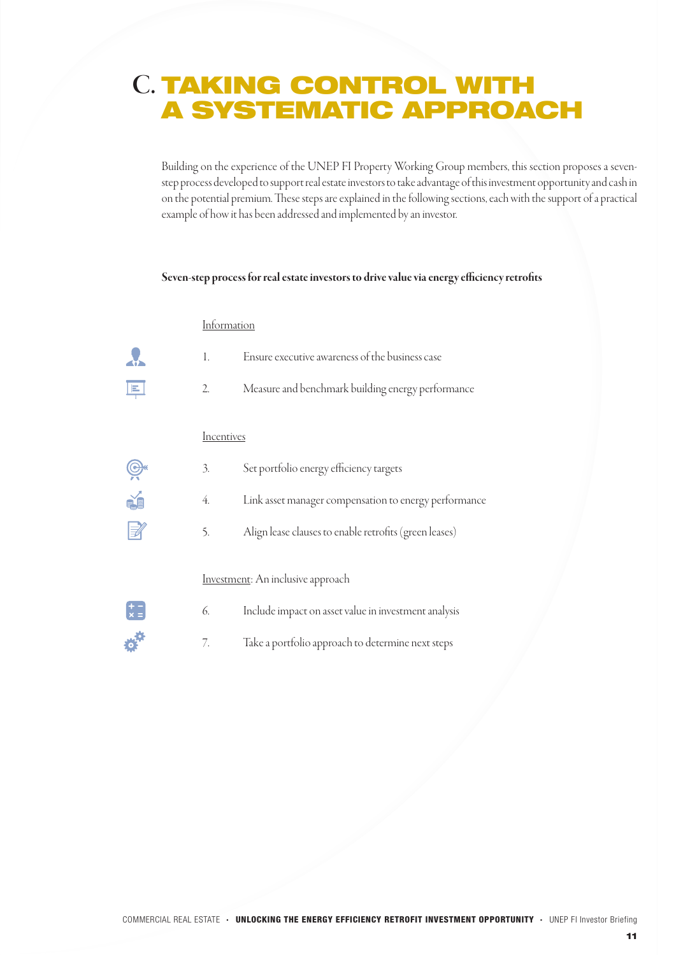## C. TAKING CONTROL WITH A SYSTEMATIC APPROACH

Building on the experience of the UNEP FI Property Working Group members, this section proposes a sevenstep process developed to support real estate investors to take advantage of this investment opportunity and cash in on the potential premium. These steps are explained in the following sections, each with the support of a practical example of how it has been addressed and implemented by an investor.

#### Seven-step process for real estate investors to drive value via energy efficiency retrofits

### Information

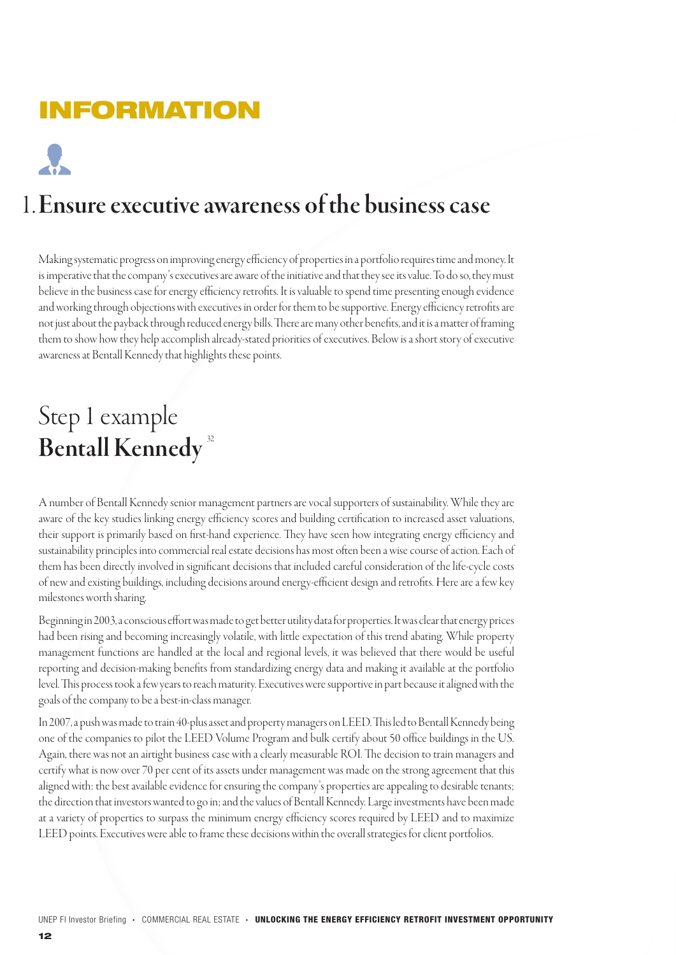# INFORMATION

# Ensure executive awareness of the business case 1.

Making systematic progress on improving energy efficiency of properties in a portfolio requires time and money. It is imperative that the company's executives are aware of the initiative and that they see its value. To do so, they must believe in the business case for energy efficiency retrofits. It is valuable to spend time presenting enough evidence and working through objections with executives in order for them to be supportive. Energy efficiency retrofits are not just about the payback through reduced energy bills. There are many other benefits, and it is a matter of framing them to show how they help accomplish already-stated priorities of executives. Below is a short story of executive awareness at Bentall Kennedy that highlights these points.

# Step 1 example Bentall Kennedy<sup>32</sup>

A number of Bentall Kennedy senior management partners are vocal supporters of sustainability. While they are aware of the key studies linking energy efficiency scores and building certification to increased asset valuations, their support is primarily based on first-hand experience. They have seen how integrating energy efficiency and sustainability principles into commercial real estate decisions has most often been a wise course of action. Each of them has been directly involved in significant decisions that included careful consideration of the life-cycle costs of new and existing buildings, including decisions around energy-efficient design and retrofits. Here are a few key milestones worth sharing.

Beginning in 2003, a conscious effort was made to get better utility data for properties. It was clear that energy prices had been rising and becoming increasingly volatile, with little expectation of this trend abating. While property management functions are handled at the local and regional levels, it was believed that there would be useful reporting and decision-making benefits from standardizing energy data and making it available at the portfolio level. This process took a few years to reach maturity. Executives were supportive in part because it aligned with the goals of the company to be a best-in-class manager.

In 2007, a push was made to train 40-plus asset and property managers on LEED. This led to Bentall Kennedy being one of the companies to pilot the LEED Volume Program and bulk certify about 50 office buildings in the US. Again, there was not an airtight business case with a clearly measurable ROI. The decision to train managers and certify what is now over 70 per cent of its assets under management was made on the strong agreement that this aligned with: the best available evidence for ensuring the company's properties are appealing to desirable tenants; the direction that investors wanted to go in; and the values of Bentall Kennedy. Large investments have been made at a variety of properties to surpass the minimum energy efficiency scores required by LEED and to maximize LEED points. Executives were able to frame these decisions within the overall strategies for client portfolios.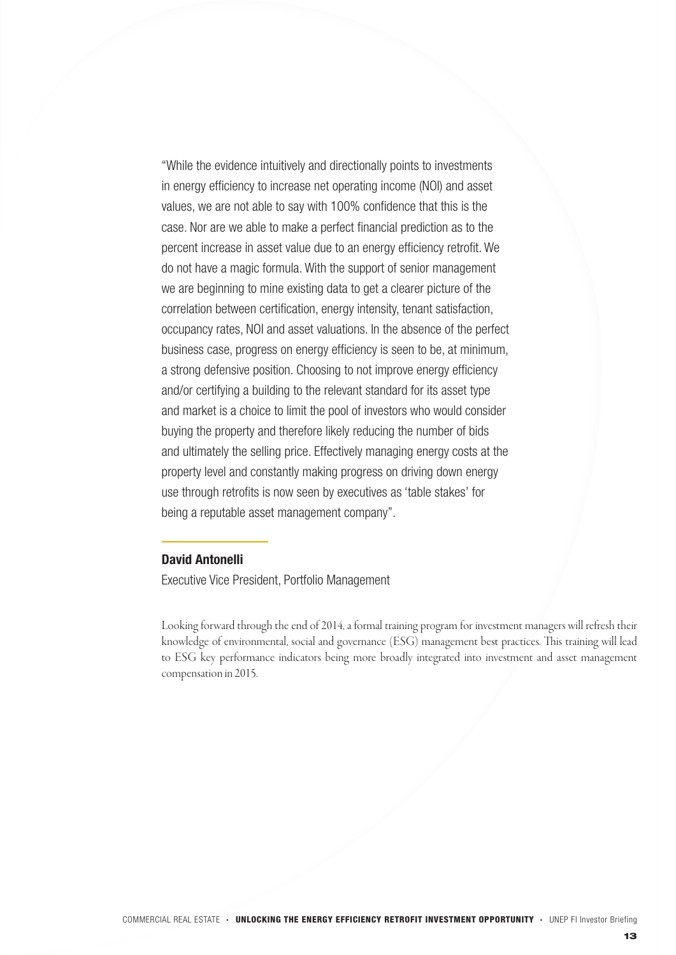"While the evidence intuitively and directionally points to investments in energy efficiency to increase net operating income (NOI) and asset values, we are not able to say with 100% confidence that this is the case. Nor are we able to make a perfect financial prediction as to the percent increase in asset value due to an energy efficiency retrofit. We do not have a magic formula. With the support of senior management we are beginning to mine existing data to get a clearer picture of the correlation between certification, energy intensity, tenant satisfaction, occupancy rates, NOI and asset valuations. In the absence of the perfect business case, progress on energy efficiency is seen to be, at minimum, a strong defensive position. Choosing to not improve energy efficiency and/or certifying a building to the relevant standard for its asset type and market is a choice to limit the pool of investors who would consider buying the property and therefore likely reducing the number of bids and ultimately the selling price. Effectively managing energy costs at the property level and constantly making progress on driving down energy use through retrofits is now seen by executives as 'table stakes' for being a reputable asset management company".

### David Antonelli

Executive Vice President, Portfolio Management

Looking forward through the end of 2014, a formal training program for investment managers will refresh their knowledge of environmental, social and governance (ESG) management best practices. This training will lead to ESG key performance indicators being more broadly integrated into investment and asset management compensation in 2015.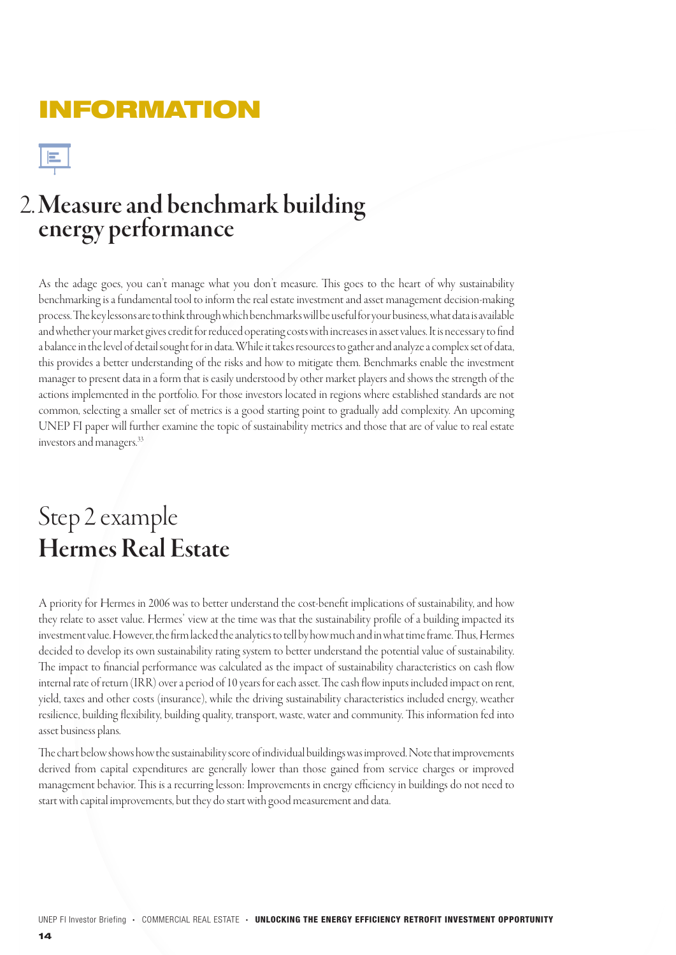## INFORMATION

### Measure and benchmark building energy performance 2.

As the adage goes, you can't manage what you don't measure. This goes to the heart of why sustainability benchmarking is a fundamental tool to inform the real estate investment and asset management decision-making process. The key lessons are to think through which benchmarks will be useful for your business, what data is available and whether your market gives credit for reduced operating costs with increases in asset values. It is necessary to find a balance in the level of detail sought for in data. While it takes resources to gather and analyze a complex set of data, this provides a better understanding of the risks and how to mitigate them. Benchmarks enable the investment manager to present data in a form that is easily understood by other market players and shows the strength of the actions implemented in the portfolio. For those investors located in regions where established standards are not common, selecting a smaller set of metrics is a good starting point to gradually add complexity. An upcoming UNEP FI paper will further examine the topic of sustainability metrics and those that are of value to real estate investors and managers.33

# Step 2 example Hermes Real Estate

A priority for Hermes in 2006 was to better understand the cost-benefit implications of sustainability, and how they relate to asset value. Hermes' view at the time was that the sustainability profile of a building impacted its investment value. However, the firm lacked the analytics to tell by how much and in what time frame. Thus, Hermes decided to develop its own sustainability rating system to better understand the potential value of sustainability. The impact to financial performance was calculated as the impact of sustainability characteristics on cash flow internal rate of return (IRR) over a period of 10 years for each asset. The cash flow inputs included impact on rent, yield, taxes and other costs (insurance), while the driving sustainability characteristics included energy, weather resilience, building flexibility, building quality, transport, waste, water and community. This information fed into asset business plans.

The chart below shows how the sustainability score of individual buildings was improved. Note that improvements derived from capital expenditures are generally lower than those gained from service charges or improved management behavior. This is a recurring lesson: Improvements in energy efficiency in buildings do not need to start with capital improvements, but they do start with good measurement and data.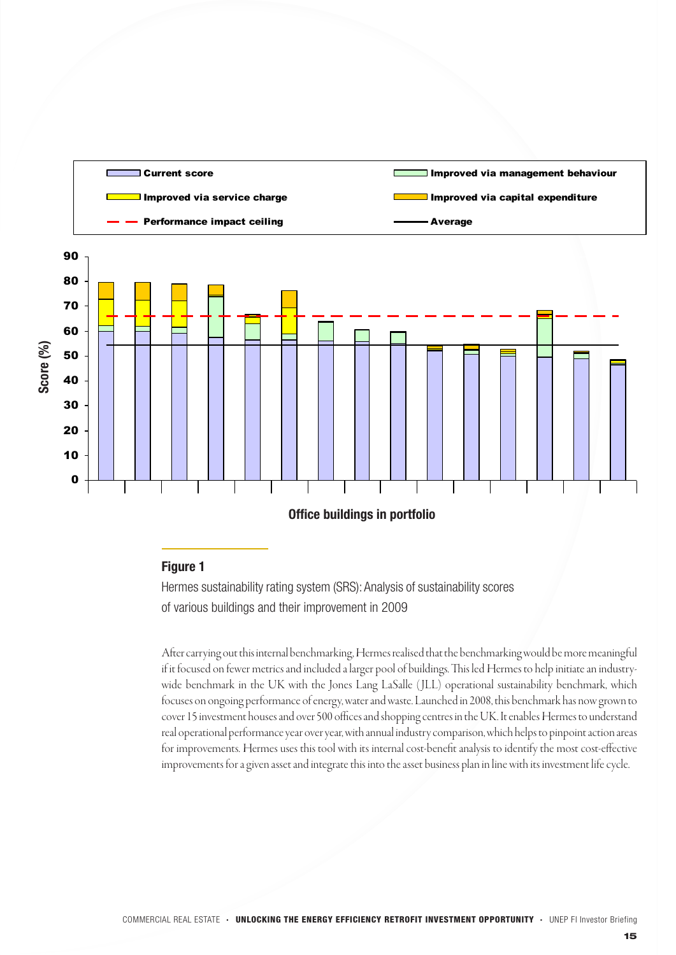

### Figure 1

Hermes sustainability rating system (SRS): Analysis of sustainability scores of various buildings and their improvement in 2009

After carrying out this internal benchmarking, Hermes realised that the benchmarking would be more meaningful if it focused on fewer metrics and included a larger pool of buildings. This led Hermes to help initiate an industrywide benchmark in the UK with the Jones Lang LaSalle ( JLL) operational sustainability benchmark, which focuses on ongoing performance of energy, water and waste. Launched in 2008, this benchmark has now grown to cover 15 investment houses and over 500 offices and shopping centres in the UK. It enables Hermes to understand real operational performance year over year, with annual industry comparison, which helps to pinpoint action areas for improvements. Hermes uses this tool with its internal cost-benefit analysis to identify the most cost-effective improvements for a given asset and integrate this into the asset business plan in line with its investment life cycle.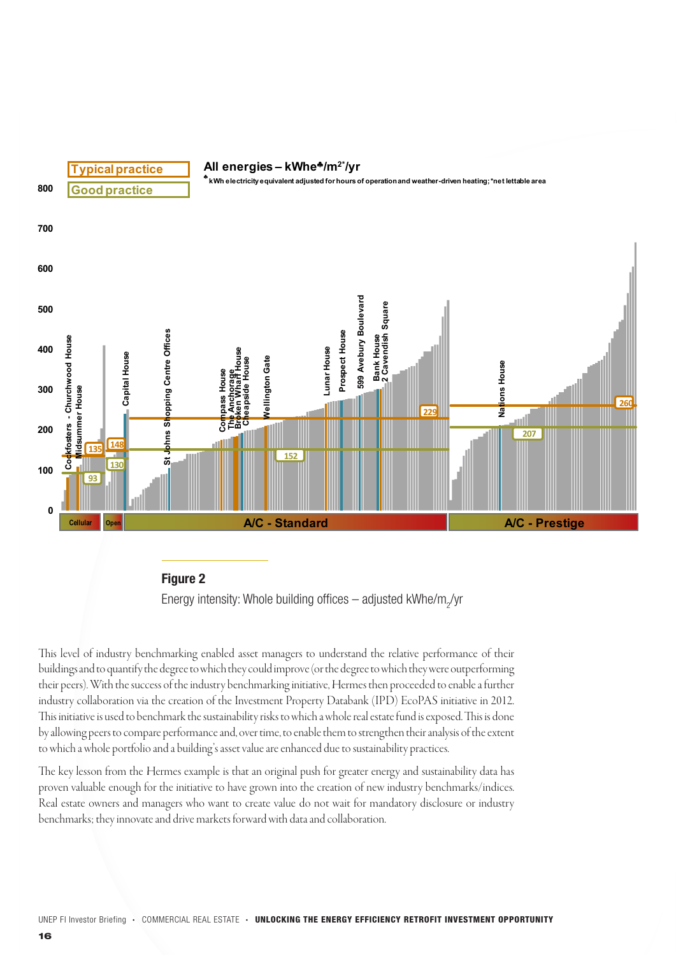



This level of industry benchmarking enabled asset managers to understand the relative performance of their buildings and to quantify the degree to which they could improve (or the degree to which they were outperforming their peers). With the success of the industry benchmarking initiative, Hermes then proceeded to enable a further industry collaboration via the creation of the Investment Property Databank (IPD) EcoPAS initiative in 2012. This initiative is used to benchmark the sustainability risks to which a whole real estate fund is exposed. This is done by allowing peers to compare performance and, over time, to enable them to strengthen their analysis of the extent to which a whole portfolio and a building's asset value are enhanced due to sustainability practices.

The key lesson from the Hermes example is that an original push for greater energy and sustainability data has proven valuable enough for the initiative to have grown into the creation of new industry benchmarks/indices. Real estate owners and managers who want to create value do not wait for mandatory disclosure or industry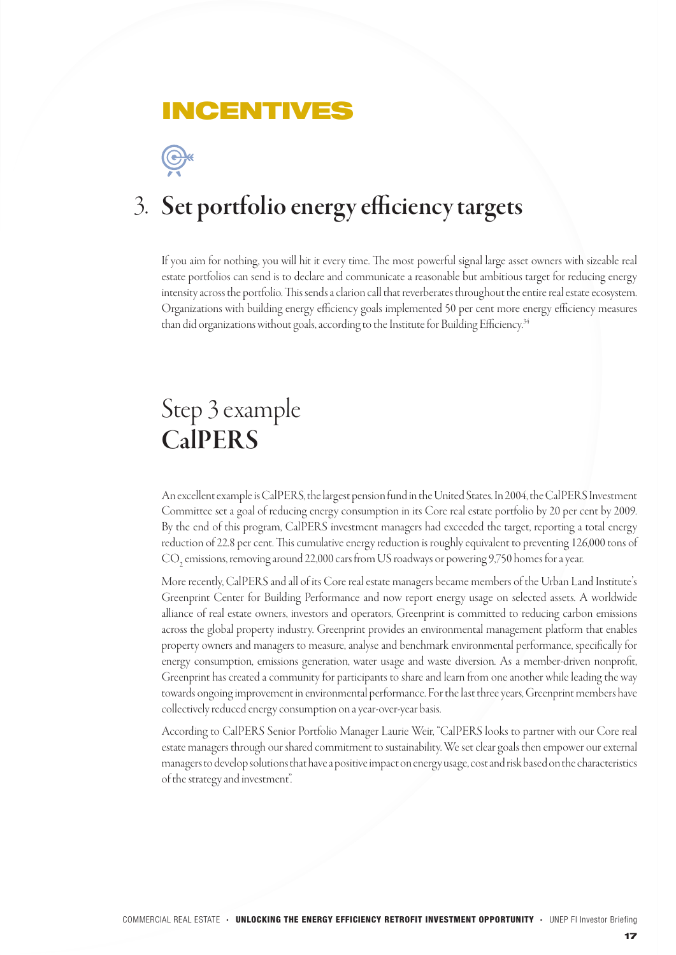### INCENTIVES



# 3. Set portfolio energy efficiency targets

If you aim for nothing, you will hit it every time. The most powerful signal large asset owners with sizeable real estate portfolios can send is to declare and communicate a reasonable but ambitious target for reducing energy intensity across the portfolio. This sends a clarion call that reverberates throughout the entire real estate ecosystem. Organizations with building energy efficiency goals implemented 50 per cent more energy efficiency measures than did organizations without goals, according to the Institute for Building Efficiency.<sup>34</sup>

# Step 3 example **CalPERS**

An excellent example is CalPERS, the largest pension fund in the United States. In 2004, the CalPERS Investment Committee set a goal of reducing energy consumption in its Core real estate portfolio by 20 per cent by 2009. By the end of this program, CalPERS investment managers had exceeded the target, reporting a total energy reduction of 22.8 per cent. This cumulative energy reduction is roughly equivalent to preventing 126,000 tons of  $\mathrm{CO}_2$  emissions, removing around 22,000 cars from US roadways or powering 9,750 homes for a year.

More recently, CalPERS and all of its Core real estate managers became members of the Urban Land Institute's Greenprint Center for Building Performance and now report energy usage on selected assets. A worldwide alliance of real estate owners, investors and operators, Greenprint is committed to reducing carbon emissions across the global property industry. Greenprint provides an environmental management platform that enables property owners and managers to measure, analyse and benchmark environmental performance, specifically for energy consumption, emissions generation, water usage and waste diversion. As a member-driven nonprofit, Greenprint has created a community for participants to share and learn from one another while leading the way towards ongoing improvement in environmental performance. For the last three years, Greenprint members have collectively reduced energy consumption on a year-over-year basis.

According to CalPERS Senior Portfolio Manager Laurie Weir, "CalPERS looks to partner with our Core real estate managers through our shared commitment to sustainability. We set clear goals then empower our external managers to develop solutions that have a positive impact on energy usage, cost and risk based on the characteristics of the strategy and investment".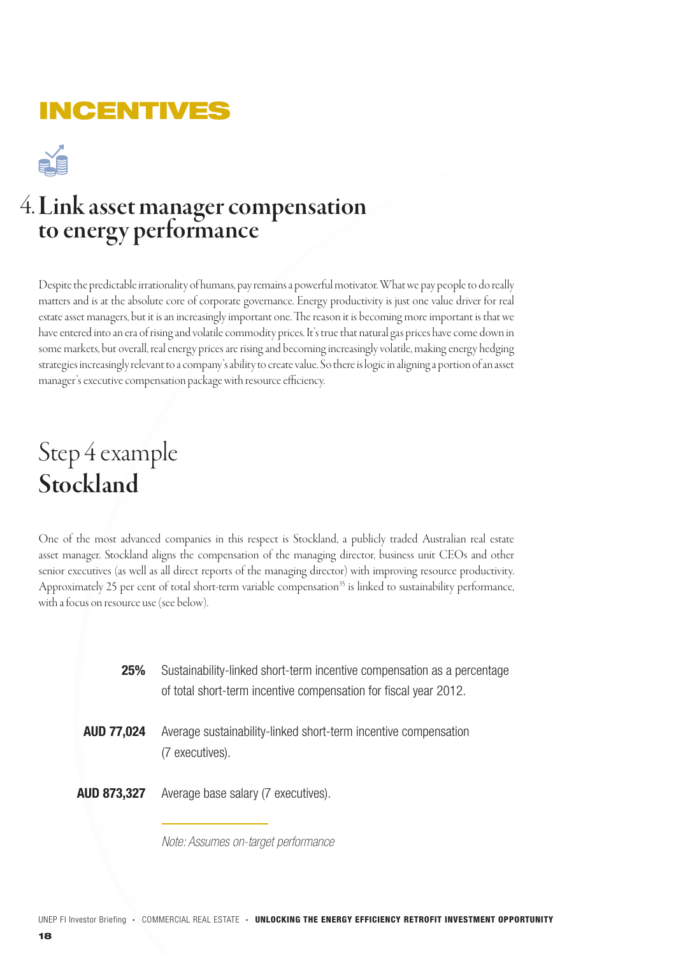## INCENTIVES



## 4. Link asset manager compensation to energy performance

Despite the predictable irrationality of humans, pay remains a powerful motivator. What we pay people to do really matters and is at the absolute core of corporate governance. Energy productivity is just one value driver for real estate asset managers, but it is an increasingly important one. The reason it is becoming more important is that we have entered into an era of rising and volatile commodity prices. It's true that natural gas prices have come down in some markets, but overall, real energy prices are rising and becoming increasingly volatile, making energy hedging strategies increasingly relevant to a company's ability to create value. So there is logic in aligning a portion of an asset manager's executive compensation package with resource efficiency.

# Step 4 example Stockland

One of the most advanced companies in this respect is Stockland, a publicly traded Australian real estate asset manager. Stockland aligns the compensation of the managing director, business unit CEOs and other senior executives (as well as all direct reports of the managing director) with improving resource productivity. Approximately 25 per cent of total short-term variable compensation<sup>35</sup> is linked to sustainability performance, with a focus on resource use (see below).

| <b>25%</b>         | Sustainability-linked short-term incentive compensation as a percentage<br>of total short-term incentive compensation for fiscal year 2012. |
|--------------------|---------------------------------------------------------------------------------------------------------------------------------------------|
| <b>AUD 77,024</b>  | Average sustainability-linked short-term incentive compensation<br>(7 executives).                                                          |
| <b>AUD 873,327</b> | Average base salary (7 executives).                                                                                                         |

*Note: Assumes on-target performance*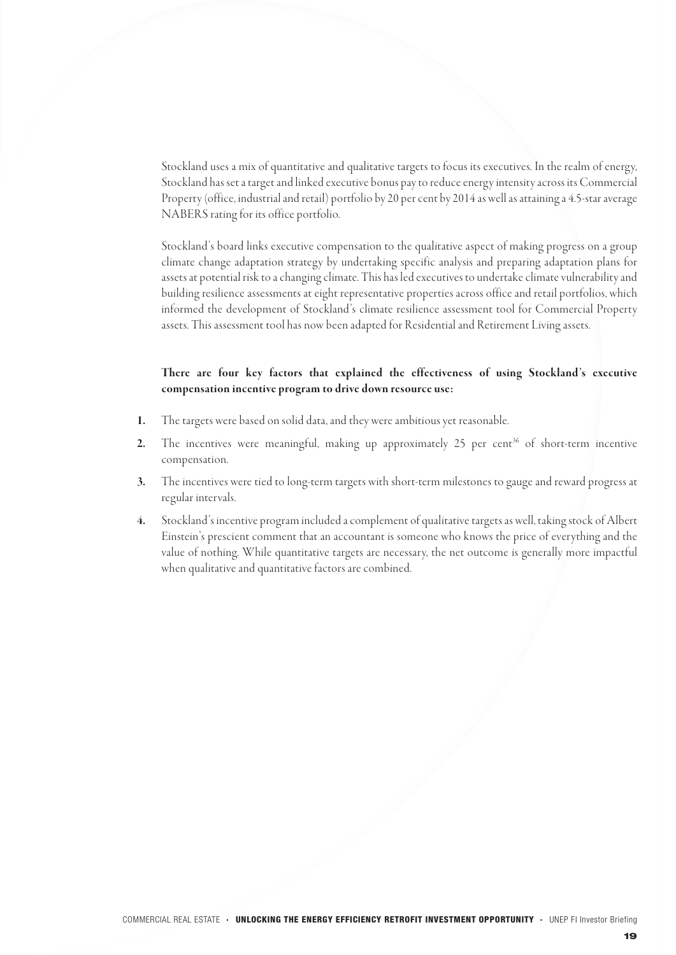Stockland uses a mix of quantitative and qualitative targets to focus its executives. In the realm of energy, Stockland has set a target and linked executive bonus pay to reduce energy intensity across its Commercial Property (office, industrial and retail) portfolio by 20 per cent by 2014 as well as attaining a 4.5-star average NABERS rating for its office portfolio.

Stockland's board links executive compensation to the qualitative aspect of making progress on a group climate change adaptation strategy by undertaking specific analysis and preparing adaptation plans for assets at potential risk to a changing climate. This has led executives to undertake climate vulnerability and building resilience assessments at eight representative properties across office and retail portfolios, which informed the development of Stockland's climate resilience assessment tool for Commercial Property assets. This assessment tool has now been adapted for Residential and Retirement Living assets.

### There are four key factors that explained the effectiveness of using Stockland's executive compensation incentive program to drive down resource use:

- The targets were based on solid data, and they were ambitious yet reasonable. 1.
- The incentives were meaningful, making up approximately 25 per cent<sup>36</sup> of short-term incentive compensation. 2.
- The incentives were tied to long-term targets with short-term milestones to gauge and reward progress at regular intervals. 3.
- Stockland's incentive program included a complement of qualitative targets as well, taking stock of Albert Einstein's prescient comment that an accountant is someone who knows the price of everything and the value of nothing. While quantitative targets are necessary, the net outcome is generally more impactful when qualitative and quantitative factors are combined. 4.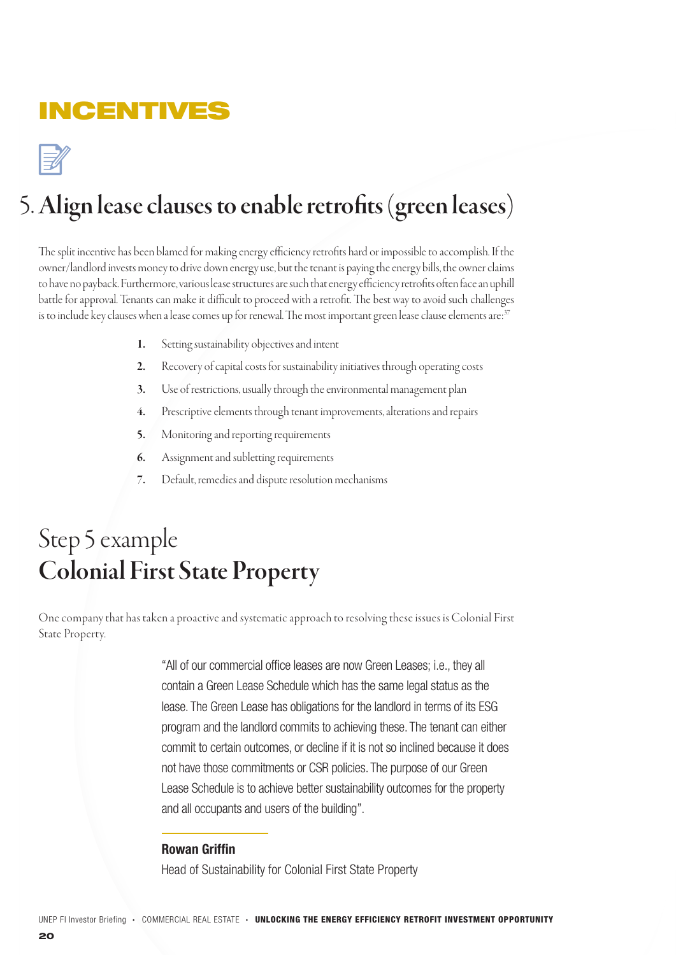## **INCENTIVES**

# Align lease clauses to enable retrofits (green leases) 5.

The split incentive has been blamed for making energy efficiency retrofits hard or impossible to accomplish. If the owner/landlord invests money to drive down energy use, but the tenant is paying the energy bills, the owner claims to have no payback. Furthermore, various lease structures are such that energy efficiency retrofits often face an uphill battle for approval. Tenants can make it difficult to proceed with a retrofit. The best way to avoid such challenges is to include key clauses when a lease comes up for renewal. The most important green lease clause elements are:<sup>37</sup>

- Setting sustainability objectives and intent 1.
- Recovery of capital costs for sustainability initiatives through operating costs 2.
- Use of restrictions, usually through the environmental management plan 3.
- Prescriptive elements through tenant improvements, alterations and repairs 4.
- Monitoring and reporting requirements 5.
- Assignment and subletting requirements 6.
- Default, remedies and dispute resolution mechanisms 7.

# Step 5 example Colonial First State Property

One company that has taken a proactive and systematic approach to resolving these issues is Colonial First State Property.

> "All of our commercial office leases are now Green Leases; i.e., they all contain a Green Lease Schedule which has the same legal status as the lease. The Green Lease has obligations for the landlord in terms of its ESG program and the landlord commits to achieving these. The tenant can either commit to certain outcomes, or decline if it is not so inclined because it does not have those commitments or CSR policies. The purpose of our Green Lease Schedule is to achieve better sustainability outcomes for the property and all occupants and users of the building".

### Rowan Griffin

Head of Sustainability for Colonial First State Property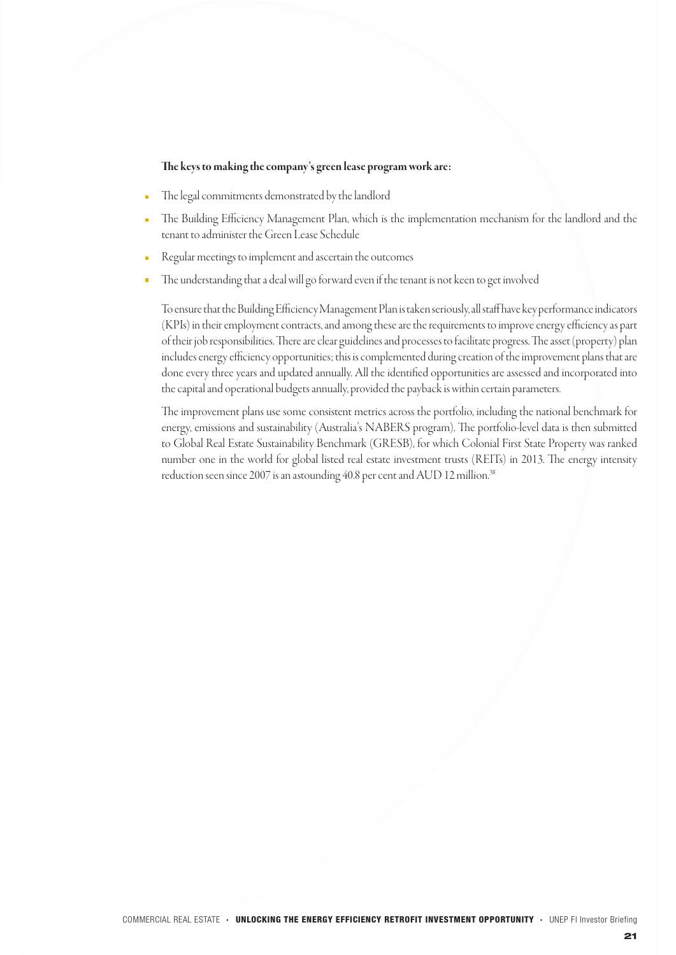#### The keys to making the company's green lease program work are:

- The legal commitments demonstrated by the landlord
- The Building Efficiency Management Plan, which is the implementation mechanism for the landlord and the tenant to administer the Green Lease Schedule
- Regular meetings to implement and ascertain the outcomes
- The understanding that a deal will go forward even if the tenant is not keen to get involved

To ensure that the Building Efficiency Management Plan is taken seriously, all staff have key performance indicators (KPIs) in their employment contracts, and among these are the requirements to improve energy efficiency as part of their job responsibilities. There are clear guidelines and processes to facilitate progress. The asset (property) plan includes energy efficiency opportunities; this is complemented during creation of the improvement plans that are done every three years and updated annually. All the identified opportunities are assessed and incorporated into the capital and operational budgets annually, provided the payback is within certain parameters.

The improvement plans use some consistent metrics across the portfolio, including the national benchmark for energy, emissions and sustainability (Australia's NABERS program). The portfolio-level data is then submitted to Global Real Estate Sustainability Benchmark (GRESB), for which Colonial First State Property was ranked number one in the world for global listed real estate investment trusts (REITs) in 2013. The energy intensity reduction seen since 2007 is an astounding 40.8 per cent and AUD 12 million.<sup>38</sup>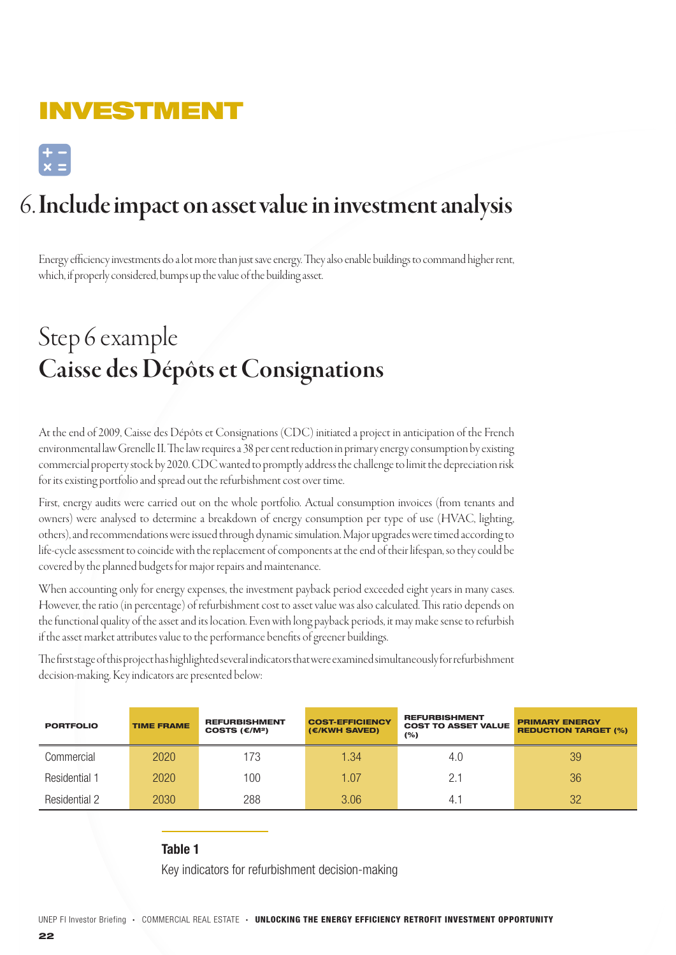## INVESTMENT

 $\begin{bmatrix} + & - \\ x & = \end{bmatrix}$ 

# 6. Include impact on asset value in investment analysis

Energy efficiency investments do a lot more than just save energy. They also enable buildings to command higher rent, which, if properly considered, bumps up the value of the building asset.

# Step 6 example Caisse des Dépôts et Consignations

At the end of 2009, Caisse des Dépôts et Consignations (CDC) initiated a project in anticipation of the French environmental law Grenelle II. The law requires a 38 per cent reduction in primary energy consumption by existing commercial property stock by 2020. CDC wanted to promptly address the challenge to limit the depreciation risk for its existing portfolio and spread out the refurbishment cost over time.

First, energy audits were carried out on the whole portfolio. Actual consumption invoices (from tenants and owners) were analysed to determine a breakdown of energy consumption per type of use (HVAC, lighting, others), and recommendations were issued through dynamic simulation. Major upgrades were timed according to life-cycle assessment to coincide with the replacement of components at the end of their lifespan, so they could be covered by the planned budgets for major repairs and maintenance.

When accounting only for energy expenses, the investment payback period exceeded eight years in many cases. However, the ratio (in percentage) of refurbishment cost to asset value was also calculated. This ratio depends on the functional quality of the asset and its location. Even with long payback periods, it may make sense to refurbish if the asset market attributes value to the performance benefits of greener buildings.

The first stage of this project has highlighted several indicators that were examined simultaneously for refurbishment decision-making. Key indicators are presented below:

| <b>PORTFOLIO</b>     | <b>TIME FRAME</b> | <b>REFURBISHMENT</b><br>COSTS $(E/M^2)$ | <b>COST-EFFICIENCY</b><br>(€/KWH SAVED) | <b>REFURBISHMENT</b><br><b>COST TO ASSET VALUE</b><br>(%) | <b>PRIMARY ENERGY</b><br><b>REDUCTION TARGET (%)</b> |
|----------------------|-------------------|-----------------------------------------|-----------------------------------------|-----------------------------------------------------------|------------------------------------------------------|
| Commercial           | 2020              | 173                                     | 1.34                                    | 4.0                                                       | 39                                                   |
| <b>Residential 1</b> | 2020              | 100                                     | 1.07                                    | 2.1                                                       | 36                                                   |
| <b>Residential 2</b> | 2030              | 288                                     | 3.06                                    | 4. .                                                      | 32                                                   |

Table 1

Key indicators for refurbishment decision-making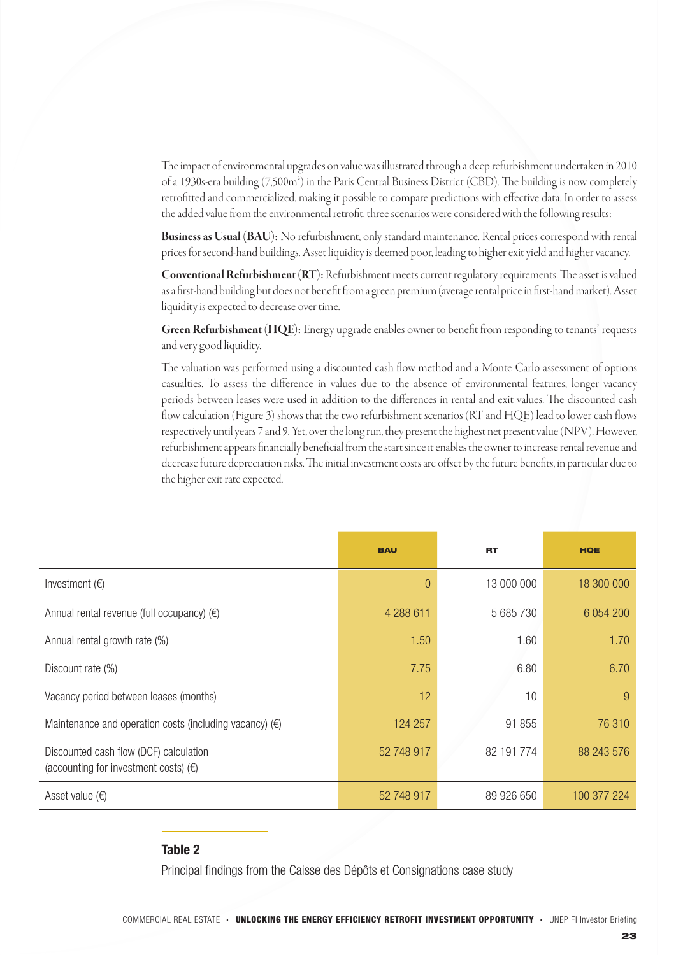The impact of environmental upgrades on value was illustrated through a deep refurbishment undertaken in 2010 of a 1930s-era building (7,500m²) in the Paris Central Business District (CBD). The building is now completely retrofitted and commercialized, making it possible to compare predictions with effective data. In order to assess the added value from the environmental retrofit, three scenarios were considered with the following results:

Business as Usual (BAU): No refurbishment, only standard maintenance. Rental prices correspond with rental prices for second-hand buildings. Asset liquidity is deemed poor, leading to higher exit yield and higher vacancy.

Conventional Refurbishment (RT): Refurbishment meets current regulatory requirements. The asset is valued as a first-hand building but does not benefit from a green premium (average rental price in first-hand market). Asset liquidity is expected to decrease over time.

Green Refurbishment (HQE): Energy upgrade enables owner to benefit from responding to tenants' requests and very good liquidity.

The valuation was performed using a discounted cash flow method and a Monte Carlo assessment of options casualties. To assess the difference in values due to the absence of environmental features, longer vacancy periods between leases were used in addition to the differences in rental and exit values. The discounted cash flow calculation (Figure 3) shows that the two refurbishment scenarios (RT and HQE) lead to lower cash flows respectively until years 7 and 9. Yet, over the long run, they present the highest net present value (NPV). However, refurbishment appears financially beneficial from the start since it enables the owner to increase rental revenue and decrease future depreciation risks. The initial investment costs are offset by the future benefits, in particular due to the higher exit rate expected.

|                                                                                          | <b>BAU</b> | <b>RT</b>  | <b>HQE</b>  |
|------------------------------------------------------------------------------------------|------------|------------|-------------|
| Investment $(E)$                                                                         | $\theta$   | 13 000 000 | 18 300 000  |
| Annual rental revenue (full occupancy) $(\epsilon)$                                      | 4 288 611  | 5 685 730  | 6 0 54 200  |
| Annual rental growth rate (%)                                                            | 1.50       | 1.60       | 1.70        |
| Discount rate (%)                                                                        | 7.75       | 6.80       | 6.70        |
| Vacancy period between leases (months)                                                   | 12         | 10         | 9           |
| Maintenance and operation costs (including vacancy) $(\epsilon)$                         | 124 257    | 91 855     | 76 310      |
| Discounted cash flow (DCF) calculation<br>(accounting for investment costs) $(\epsilon)$ | 52 748 917 | 82 191 774 | 88 243 576  |
| Asset value $(\epsilon)$                                                                 | 52 748 917 | 89 926 650 | 100 377 224 |

### Table 2

Principal findings from the Caisse des Dépôts et Consignations case study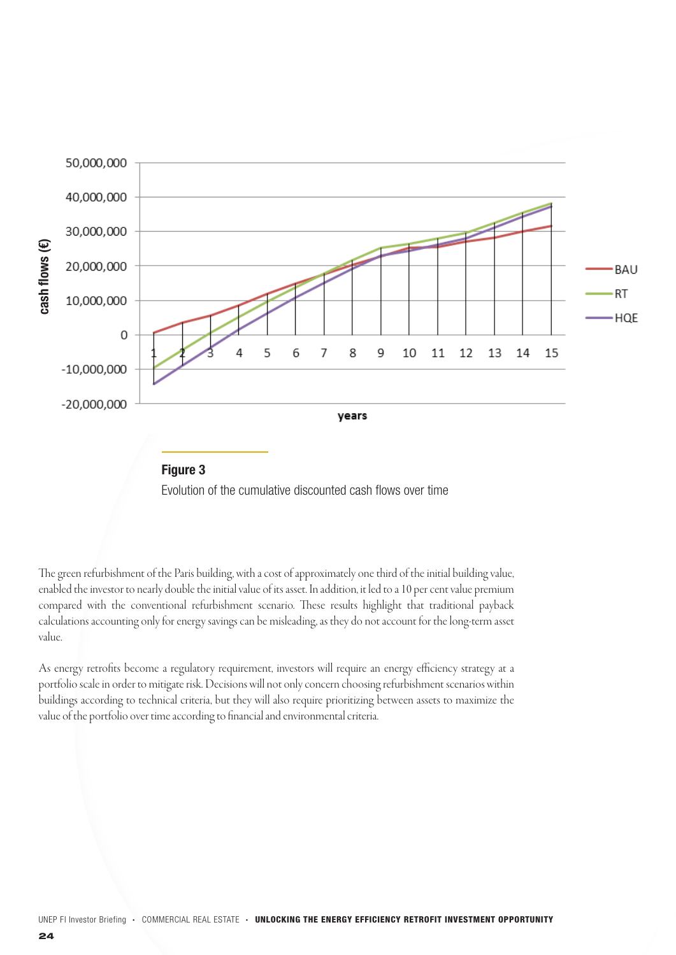

![](_page_23_Figure_1.jpeg)

The green refurbishment of the Paris building, with a cost of approximately one third of the initial building value, enabled the investor to nearly double the initial value of its asset. In addition, it led to a 10 per cent value premium compared with the conventional refurbishment scenario. These results highlight that traditional payback calculations accounting only for energy savings can be misleading, as they do not account for the long-term asset value.

As energy retrofits become a regulatory requirement, investors will require an energy efficiency strategy at a portfolio scale in order to mitigate risk. Decisions will not only concern choosing refurbishment scenarios within buildings according to technical criteria, but they will also require prioritizing between assets to maximize the value of the portfolio over time according to financial and environmental criteria.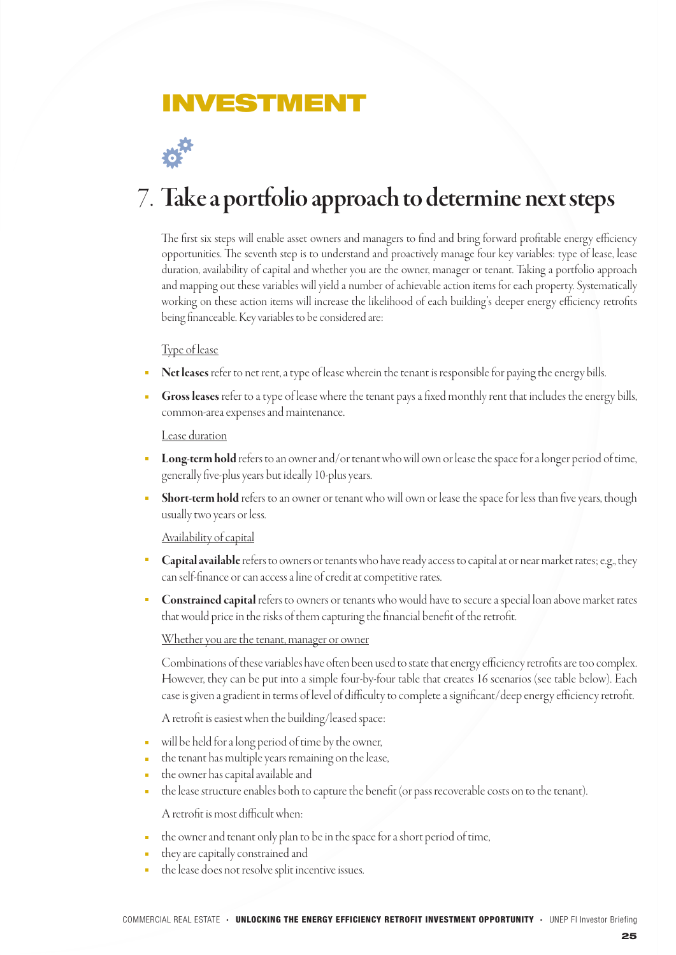## NVESTME**I**

# 7. Take a portfolio approach to determine next steps

The first six steps will enable asset owners and managers to find and bring forward profitable energy efficiency opportunities. The seventh step is to understand and proactively manage four key variables: type of lease, lease duration, availability of capital and whether you are the owner, manager or tenant. Taking a portfolio approach and mapping out these variables will yield a number of achievable action items for each property. Systematically working on these action items will increase the likelihood of each building's deeper energy efficiency retrofits being financeable. Key variables to be considered are:

### Type of lease

- Net leases refer to net rent, a type of lease wherein the tenant is responsible for paying the energy bills.
- Gross leases refer to a type of lease where the tenant pays a fixed monthly rent that includes the energy bills, common-area expenses and maintenance.

### Lease duration

- Long-term hold refers to an owner and/or tenant who will own or lease the space for a longer period of time, generally five-plus years but ideally 10-plus years.
- Short-term hold refers to an owner or tenant who will own or lease the space for less than five years, though usually two years or less.

### Availability of capital

- Capital available refers to owners or tenants who have ready access to capital at or near market rates; e.g., they can self-finance or can access a line of credit at competitive rates.
- Constrained capital refers to owners or tenants who would have to secure a special loan above market rates that would price in the risks of them capturing the financial benefit of the retrofit.

### Whether you are the tenant, manager or owner

Combinations of these variables have often been used to state that energy efficiency retrofits are too complex. However, they can be put into a simple four-by-four table that creates 16 scenarios (see table below). Each case is given a gradient in terms of level of difficulty to complete a significant/deep energy efficiency retrofit.

A retrofit is easiest when the building/leased space:

- will be held for a long period of time by the owner,
- the tenant has multiple years remaining on the lease,
- the owner has capital available and
- the lease structure enables both to capture the benefit (or pass recoverable costs on to the tenant).  $\blacksquare$

A retrofit is most difficult when:

- the owner and tenant only plan to be in the space for a short period of time,
- they are capitally constrained and
- the lease does not resolve split incentive issues.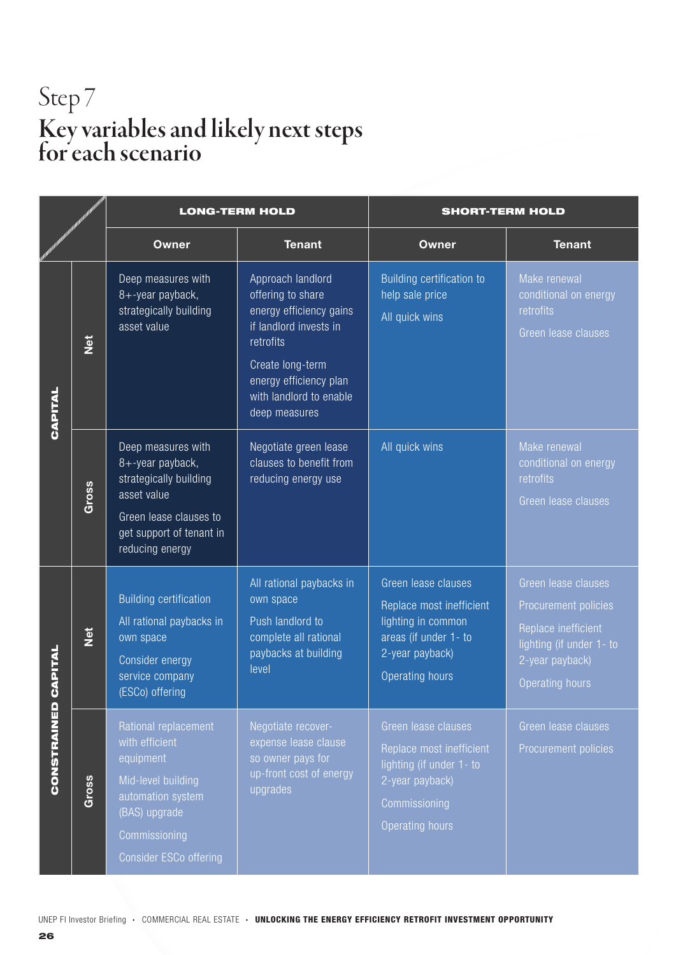# Step 7 Key variables and likely next steps for each scenario

|                        |               | <b>LONG-TERM HOLD</b>                                                                                                                                             |                                                                                                                                                                                                    | <b>SHORT-TERM HOLD</b>                                                                                                                    |                                                                                                                                             |
|------------------------|---------------|-------------------------------------------------------------------------------------------------------------------------------------------------------------------|----------------------------------------------------------------------------------------------------------------------------------------------------------------------------------------------------|-------------------------------------------------------------------------------------------------------------------------------------------|---------------------------------------------------------------------------------------------------------------------------------------------|
|                        |               | <b>Owner</b>                                                                                                                                                      | <b>Tenant</b>                                                                                                                                                                                      | <b>Owner</b>                                                                                                                              | <b>Tenant</b>                                                                                                                               |
| CAPITAL                | $\frac{1}{2}$ | Deep measures with<br>8+-year payback,<br>strategically building<br>asset value                                                                                   | Approach landlord<br>offering to share<br>energy efficiency gains<br>if landlord invests in<br>retrofits<br>Create long-term<br>energy efficiency plan<br>with landlord to enable<br>deep measures | Building certification to<br>help sale price<br>All quick wins                                                                            | Make renewal<br>conditional on energy<br>retrofits<br>Green lease clauses                                                                   |
|                        | Gross         | Deep measures with<br>8+-year payback,<br>strategically building<br>asset value<br>Green lease clauses to<br>get support of tenant in<br>reducing energy          | Negotiate green lease<br>clauses to benefit from<br>reducing energy use                                                                                                                            | All quick wins                                                                                                                            | Make renewal<br>conditional on energy<br>retrofits<br>Green lease clauses                                                                   |
| CAPITAL<br>CONSTRAINED | <b>Net</b>    | <b>Building certification</b><br>All rational paybacks in<br>own space<br>Consider energy<br>service company<br>(ESCo) offering                                   | All rational paybacks in<br>own space<br>Push landlord to<br>complete all rational<br>paybacks at building<br>level                                                                                | Green lease clauses<br>Replace most inefficient<br>lighting in common<br>areas (if under 1- to<br>2-year payback)<br>Operating hours      | Green lease clauses<br>Procurement policies<br>Replace inefficient<br>lighting (if under 1- to<br>2-year payback)<br><b>Operating hours</b> |
|                        | Gross         | Rational replacement<br>with efficient<br>equipment<br>Mid-level building<br>automation system<br>(BAS) upgrade<br>Commissioning<br><b>Consider ESCo offering</b> | Negotiate recover-<br>expense lease clause<br>so owner pays for<br>up-front cost of energy<br>upgrades                                                                                             | Green lease clauses<br>Replace most inefficient<br>lighting (if under 1- to<br>2-year payback)<br>Commissioning<br><b>Operating hours</b> | Green lease clauses<br>Procurement policies                                                                                                 |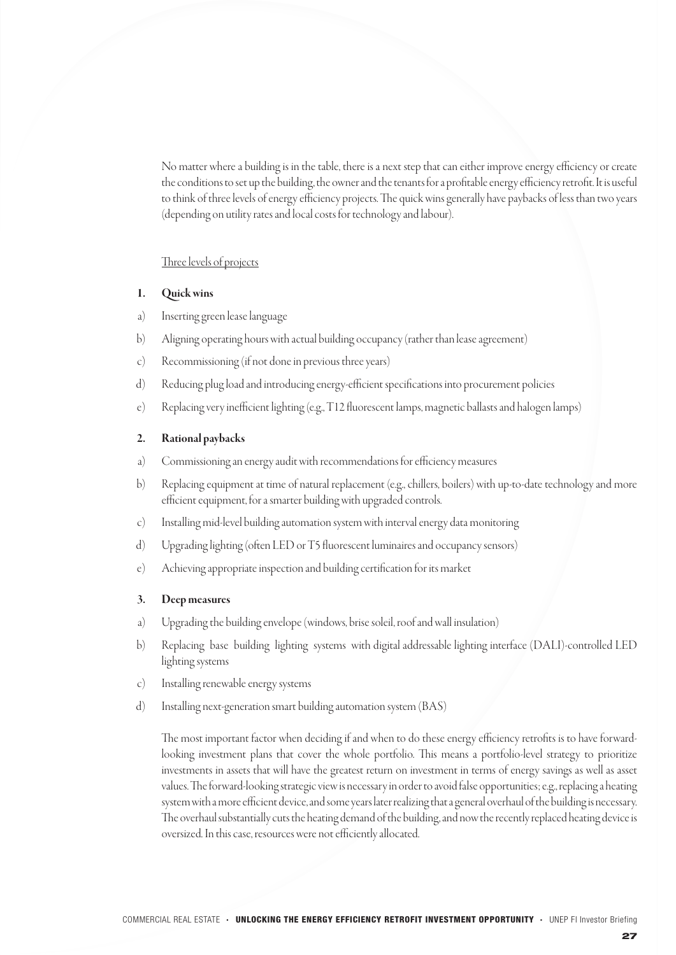No matter where a building is in the table, there is a next step that can either improve energy efficiency or create the conditions to set up the building, the owner and the tenants for a profitable energy efficiency retrofit. It is useful to think of three levels of energy efficiency projects. The quick wins generally have paybacks of less than two years (depending on utility rates and local costs for technology and labour).

#### Three levels of projects

#### Quick wins 1.

- Inserting green lease language a)
- Aligning operating hours with actual building occupancy (rather than lease agreement) b)
- Recommissioning (if not done in previous three years) c)
- Reducing plug load and introducing energy-efficient specifications into procurement policies d)
- Replacing very inefficient lighting (e.g., T12 fluorescent lamps, magnetic ballasts and halogen lamps) e)

#### Rational paybacks 2.

- Commissioning an energy audit with recommendations for efficiency measures a)
- Replacing equipment at time of natural replacement (e.g., chillers, boilers) with up-to-date technology and more efficient equipment, for a smarter building with upgraded controls. b)
- Installing mid-level building automation system with interval energy data monitoring c)
- Upgrading lighting (often LED or T5 fluorescent luminaires and occupancy sensors) d)
- Achieving appropriate inspection and building certification for its market e)

#### Deep measures 3.

- Upgrading the building envelope (windows, brise soleil, roof and wall insulation) a)
- Replacing base building lighting systems with digital addressable lighting interface (DALI)-controlled LED lighting systems b)
- Installing renewable energy systems c)
- Installing next-generation smart building automation system (BAS) d)

The most important factor when deciding if and when to do these energy efficiency retrofits is to have forwardlooking investment plans that cover the whole portfolio. This means a portfolio-level strategy to prioritize investments in assets that will have the greatest return on investment in terms of energy savings as well as asset values. The forward-looking strategic view is necessary in order to avoid false opportunities; e.g., replacing a heating system with a more efficient device, and some years later realizing that a general overhaul of the building is necessary. The overhaul substantially cuts the heating demand of the building, and now the recently replaced heating device is oversized. In this case, resources were not efficiently allocated.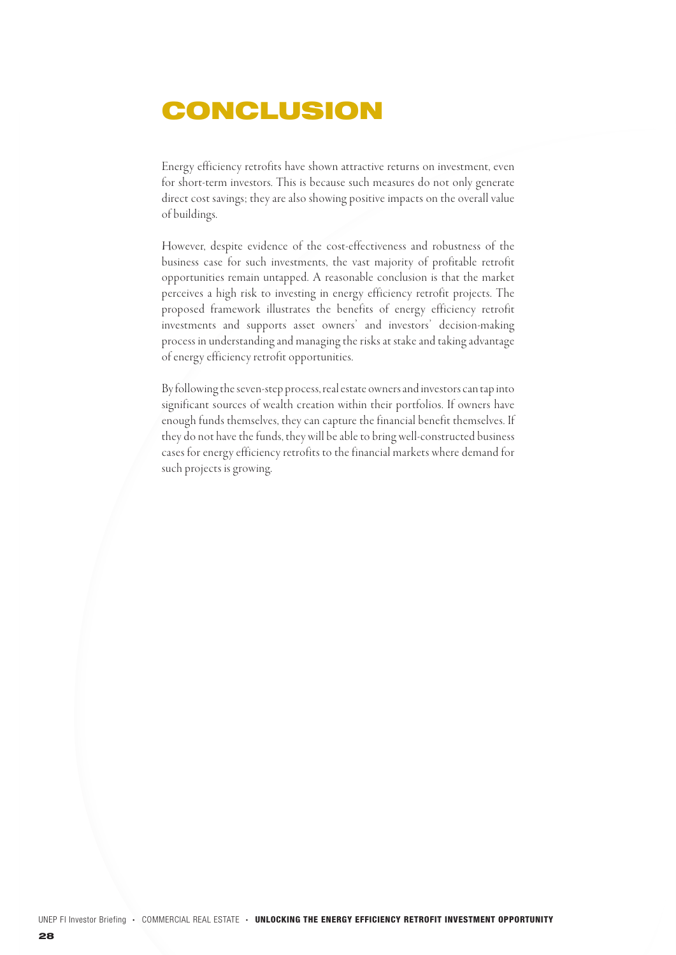# CONCLUSION

Energy efficiency retrofits have shown attractive returns on investment, even for short-term investors. This is because such measures do not only generate direct cost savings; they are also showing positive impacts on the overall value of buildings.

However, despite evidence of the cost-effectiveness and robustness of the business case for such investments, the vast majority of profitable retrofit opportunities remain untapped. A reasonable conclusion is that the market perceives a high risk to investing in energy efficiency retrofit projects. The proposed framework illustrates the benefits of energy efficiency retrofit investments and supports asset owners' and investors' decision-making process in understanding and managing the risks at stake and taking advantage of energy efficiency retrofit opportunities.

By following the seven-step process, real estate owners and investors can tap into significant sources of wealth creation within their portfolios. If owners have enough funds themselves, they can capture the financial benefit themselves. If they do not have the funds, they will be able to bring well-constructed business cases for energy efficiency retrofits to the financial markets where demand for such projects is growing.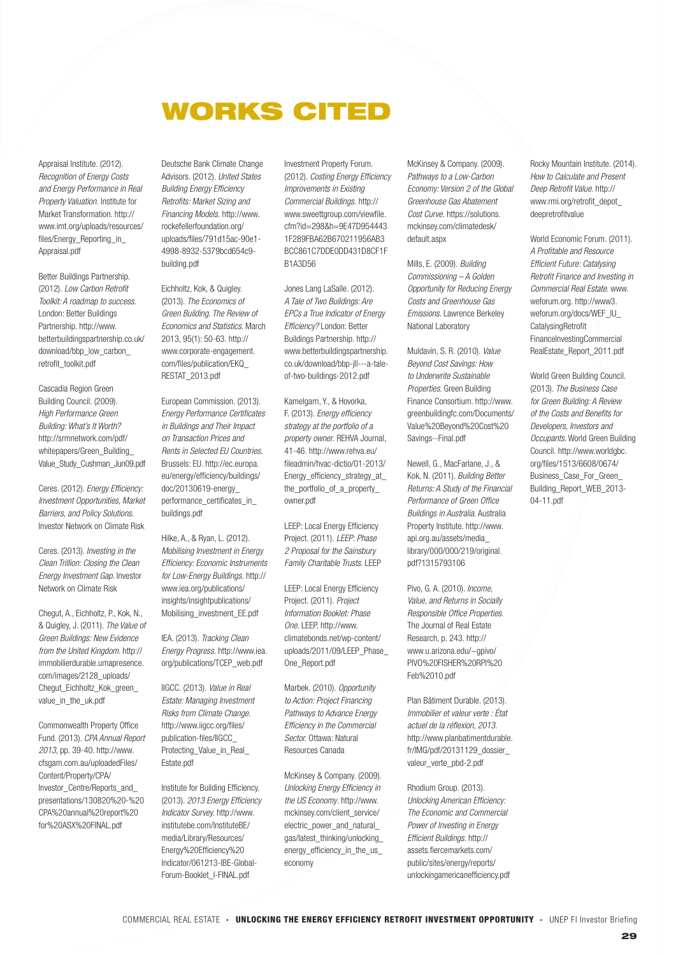## WORKS CITED

Appraisal Institute. (2012). *Recognition of Energy Costs and Energy Performance in Real Property Valuation.* Institute for Market Transformation. http:// www.imt.org/uploads/resources/ files/Energy\_Reporting\_in\_ Appraisal.pdf

Better Buildings Partnership. (2012). *Low Carbon Retrofit Toolkit: A roadmap to success.* London: Better Buildings Partnership. http://www. betterbuildingspartnership.co.uk/ download/bbp\_low\_carbon\_ retrofit\_toolkit.pdf

Cascadia Region Green Building Council. (2009). *High Performance Green Building: What's It Worth?* http://srmnetwork.com/pdf/ whitepapers/Green\_Building\_ Value\_Study\_Cushman\_Jun09.pdf

Ceres. (2012). *Energy Efficiency: Investment Opportunities, Market Barriers, and Policy Solutions*. Investor Network on Climate Risk

Ceres. (2013). *Investing in the Clean Trillion: Closing the Clean Energy Investment Gap.* Investor Network on Climate Risk

Chegut, A., Eichholtz, P., Kok, N., & Quigley, J. (2011). *The Value of Green Buildings: New Evidence from the United Kingdom.* http:// immobilierdurable.umapresence. com/images/2128\_uploads/ Chegut\_Eichholtz\_Kok\_green\_ value\_in\_the\_uk.pdf

Commonwealth Property Office Fund. (2013). *CPA Annual Report 2013*, pp. 39-40. http://www. cfsgam.com.au/uploadedFiles/ Content/Property/CPA/ Investor\_Centre/Reports\_and\_ presentations/130820%20-%20 CPA%20annual%20report%20 for%20ASX%20FINAL.pdf

Deutsche Bank Climate Change Advisors. (2012). *United States Building Energy Efficiency Retrofits: Market Sizing and Financing Models.* http://www. rockefellerfoundation.org/ uploads/files/791d15ac-90e1- 4998-8932-5379bcd654c9 building.pdf

Eichholtz, Kok, & Quigley. (2013). *The Economics of Green Building. The Review of Economics and Statistics*. March 2013, 95(1): 50-63. http:// www.corporate-engagement. com/files/publication/EKQ\_ RESTAT\_2013.pdf

European Commission. (2013). *Energy Performance Certificates in Buildings and Their Impact on Transaction Prices and Rents in Selected EU Countries.*  Brussels: EU. http://ec.europa. eu/energy/efficiency/buildings/ doc/20130619-energy\_ performance\_certificates\_in\_ buildings.pdf

Hilke, A., & Ryan, L. (2012). *Mobilising Investment in Energy Efficiency: Economic Instruments for Low-Energy Buildings.* http:// www.iea.org/publications/ insights/insightpublications/ Mobilising\_investment\_EE.pdf

IEA. (2013). *Tracking Clean Energy Progress.* http://www.iea. org/publications/TCEP\_web.pdf

IIGCC. (2013). *Value in Real Estate: Managing Investment Risks from Climate Change.*  http://www.iigcc.org/files/ publication-files/IIGCC\_ Protecting\_Value\_in\_Real\_ Estate.pdf

Institute for Building Efficiency. (2013). *2013 Energy Efficiency Indicator Survey.* http://www. institutebe.com/InstituteBE/ media/Library/Resources/ Energy%20Efficiency%20 Indicator/061213-IBE-Global-Forum-Booklet\_I-FINAL.pdf

Investment Property Forum. (2012). *Costing Energy Efficiency Improvements in Existing Commercial Buildings.* http:// www.sweettgroup.com/viewfile. cfm?id=298&h=9E47D954443 1F289FBA62B670211956AB3 BCC861C7DDE0DD431D8CF1F B1A3D56

Jones Lang LaSalle. (2012). *A Tale of Two Buildings: Are EPCs a True Indicator of Energy Efficiency?* London: Better Buildings Partnership. http:// www.betterbuildingspartnership. co.uk/download/bbp-jll---a-taleof-two-buildings-2012.pdf

Kamelgarn, Y., & Hovorka, F. (2013). *Energy efficiency strategy at the portfolio of a property owner*. REHVA Journal, 41-46. http://www.rehva.eu/ fileadmin/hvac-dictio/01-2013/ Energy\_efficiency\_strategy\_at\_ the\_portfolio\_of\_a\_property\_ owner.pdf

LEEP: Local Energy Efficiency Project. (2011). *LEEP: Phase 2 Proposal for the Sainsbury Family Charitable Trusts*. LEEP

LEEP: Local Energy Efficiency Project. (2011). *Project Information Booklet: Phase One*. LEEP. http://www. climatebonds.net/wp-content/ uploads/2011/09/LEEP\_Phase\_ One\_Report.pdf

Marbek. (2010). *Opportunity to Action: Project Financing Pathways to Advance Energy Efficiency in the Commercial Sector.* Ottawa: Natural Resources Canada

McKinsey & Company. (2009). *Unlocking Energy Efficiency in the US Economy*. http://www. mckinsey.com/client\_service/ electric\_power\_and\_natural gas/latest\_thinking/unlocking\_ energy\_efficiency\_in\_the\_us\_ economy

McKinsey & Company. (2009). *Pathways to a Low-Carbon Economy: Version 2 of the Global Greenhouse Gas Abatement Cost Curve.* https://solutions. mckinsey.com/climatedesk/ default.aspx

Mills, E. (2009). *Building Commissioning – A Golden Opportunity for Reducing Energy Costs and Greenhouse Gas Emissions*. Lawrence Berkeley National Laboratory

Muldavin, S. R. (2010). *Value Beyond Cost Savings: How to Underwrite Sustainable Properties*. Green Building Finance Consortium. http://www. greenbuildingfc.com/Documents/ Value%20Beyond%20Cost%20 Savings--Final.pdf

Newell, G., MacFarlane, J., & Kok, N. (2011). *Building Better Returns: A Study of the Financial Performance of Green Office Buildings in Australia*. Australia Property Institute. http://www. api.org.au/assets/media\_ library/000/000/219/original. pdf?1315793106

Pivo, G. A. (2010). *Income, Value, and Returns in Socially Responsible Office Properties*. The Journal of Real Estate Research, p. 243. http:// www.u.arizona.edu/~gpivo/ PIVO%20FISHER%20RPI%20 Feb%2010.pdf

Plan Bâtiment Durable. (2013). *Immobilier et valeur verte : État actuel de la réflexion, 2013.* http://www.planbatimentdurable. fr/IMG/pdf/20131129\_dossier\_ valeur\_verte\_pbd-2.pdf

Rhodium Group. (2013). *Unlocking American Efficiency: The Economic and Commercial Power of Investing in Energy Efficient Buildings*. http:// assets.fiercemarkets.com/ public/sites/energy/reports/ unlockingamericanefficiency.pdf Rocky Mountain Institute. (2014). *How to Calculate and Present Deep Retrofit Value*. http:// www.rmi.org/retrofit\_depot\_ deepretrofitvalue

World Economic Forum. (2011). *A Profitable and Resource Efficient Future: Catalysing Retrofit Finance and Investing in Commercial Real Estate*. www. weforum.org. http://www3. weforum.org/docs/WEF\_IU\_ **CatalysingRetrofit** FinanceInvestingCommercial RealEstate\_Report\_2011.pdf

World Green Building Council. (2013). *The Business Case for Green Building: A Review of the Costs and Benefits for Developers, Investors and Occupants*. World Green Building Council. http://www.worldgbc. org/files/1513/6608/0674/ Business\_Case\_For\_Green\_ Building\_Report\_WEB\_2013- 04-11.pdf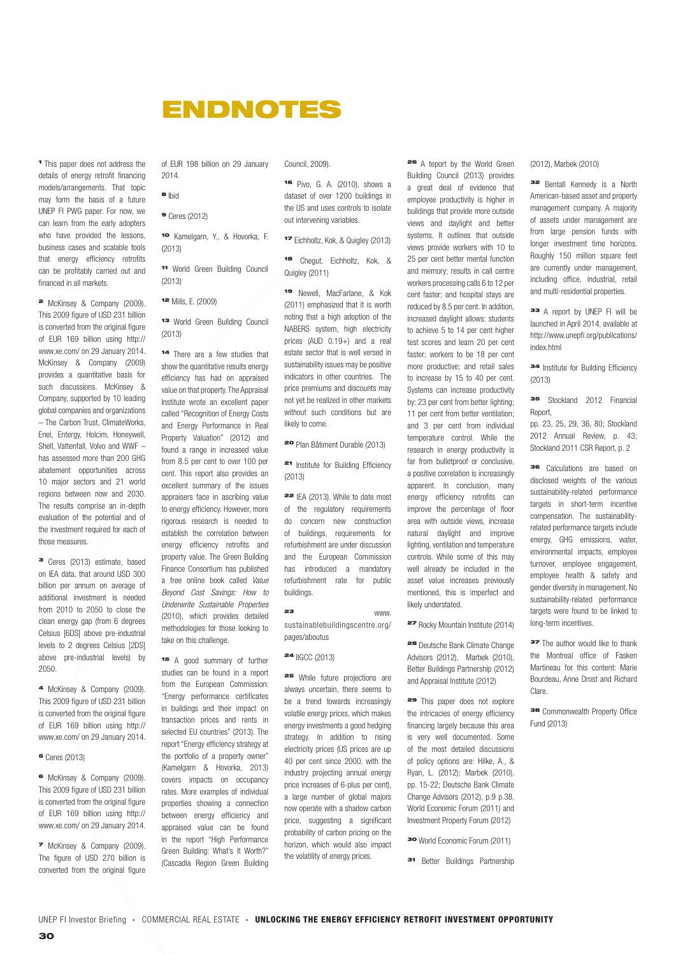## ENDNOTES

<sup>1</sup> This paper does not address the details of energy retrofit financing models/arrangements. That topic may form the basis of a future UNEP FI PWG paper. For now, we can learn from the early adopters who have provided the lessons, business cases and scalable tools that energy efficiency retrofits can be profitably carried out and financed in all markets.

<sup>2</sup> McKinsey & Company (2009). This 2009 figure of USD 231 billion is converted from the original figure of EUR 169 billion using http:// www.xe.com/ on 29 January 2014. McKinsey & Company (2009) provides a quantitative basis for such discussions. McKinsey & Company, supported by 10 leading global companies and organizations – The Carbon Trust, ClimateWorks, Enel, Entergy, Holcim, Honeywell, Shell, Vattenfall, Volvo and WWF – has assessed more than 200 GHG abatement opportunities across 10 major sectors and 21 world regions between now and 2030. The results comprise an in-depth evaluation of the potential and of the investment required for each of those measures.

<sup>3</sup> Ceres (2013) estimate, based on IEA data, that around USD 300 billion per annum on average of additional investment is needed from 2010 to 2050 to close the clean energy gap (from 6 degrees Celsius [6DS] above pre-industrial levels to 2 degrees Celsius [2DS] above pre-industrial levels) by 2050.

<sup>4</sup> McKinsey & Company (2009). This 2009 figure of USD 231 billion is converted from the original figure of EUR 169 billion using http:// www.xe.com/ on 29 January 2014.

<sup>5</sup> Ceres (2013)

<sup>6</sup> McKinsey & Company (2009). This 2009 figure of USD 231 billion is converted from the original figure of EUR 169 billion using http:// www.xe.com/ on 29 January 2014.

<sup>7</sup> McKinsey & Company (2009). The figure of USD 270 billion is converted from the original figure of EUR 198 billion on 29 January 2014.

<sup>8</sup> Ibid

<sup>9</sup> Ceres (2012)

<sup>10</sup> Kamelgarn, Y., & Hovorka, F. (2013)

<sup>11</sup> World Green Building Council (2013)

<sup>12</sup> Mills, E. (2009)

#### <sup>13</sup> World Green Building Council (2013)

<sup>14</sup> There are a few studies that show the quantitative results energy efficiency has had on appraised value on that property. The Appraisal Institute wrote an excellent paper called "Recognition of Energy Costs and Energy Performance in Real Property Valuation" (2012) and found a range in increased value from 8.5 per cent to over 100 per cent. This report also provides an excellent summary of the issues appraisers face in ascribing value to energy efficiency. However, more rigorous research is needed to establish the correlation between energy efficiency retrofits and property value. The Green Building Finance Consortium has published a free online book called *Value Beyond Cost Savings: How to Underwrite Sustainable Properties* (2010), which provides detailed methodologies for those looking to take on this challenge.

<sup>15</sup> A good summary of further studies can be found in a report from the European Commission: "Energy performance certificates in buildings and their impact on transaction prices and rents in selected EU countries" (2013). The report "Energy efficiency strategy at the portfolio of a property owner" (Kamelgarn & Hovorka, 2013) covers impacts on occupancy rates. More examples of individual properties showing a connection between energy efficiency and appraised value can be found in the report "High Performance Green Building: What's It Worth?" (Cascadia Region Green Building

Council, 2009).

<sup>16</sup> Pivo, G. A. (2010), shows a dataset of over 1200 buildings in the US and uses controls to isolate out intervening variables.

<sup>17</sup> Eichholtz, Kok, & Quigley (2013)

<sup>18</sup> Chegut, Eichholtz, Kok, & Quigley (2011)

<sup>19</sup> Newell, MacFarlane, & Kok (2011) emphasized that it is worth noting that a high adoption of the NABERS system, high electricity prices (AUD 0.19+) and a real estate sector that is well versed in sustainability issues may be positive indicators in other countries. The price premiums and discounts may not yet be realized in other markets without such conditions but are likely to come.

<sup>20</sup> Plan Bâtiment Durable (2013)

<sup>21</sup> Institute for Building Efficiency (2013)

<sup>22</sup> IEA (2013). While to date most of the regulatory requirements do concern new construction of buildings, requirements for refurbishment are under discussion and the European Commission has introduced a mandatory refurbishment rate for public buildings.

<sup>23</sup> www. sustainablebuildingscentre.org/ pages/aboutus

<sup>24</sup> IIGCC (2013)

<sup>25</sup> While future projections are always uncertain, there seems to be a trend towards increasingly volatile energy prices, which makes energy investments a good hedging strategy. In addition to rising electricity prices (US prices are up 40 per cent since 2000, with the industry projecting annual energy price increases of 6-plus per cent), a large number of global majors now operate with a shadow carbon price, suggesting a significant probability of carbon pricing on the horizon, which would also impact the volatility of energy prices.

<sup>26</sup> A teport by the World Green Building Council (2013) provides a great deal of evidence that employee productivity is higher in buildings that provide more outside views and daylight and better systems. It outlines that outside views provide workers with 10 to 25 per cent better mental function and memory; results in call centre workers processing calls 6 to 12 per cent faster; and hospital stays are reduced by 8.5 per cent. In addition, increased daylight allows: students to achieve 5 to 14 per cent higher test scores and learn 20 per cent faster; workers to be 18 per cent more productive; and retail sales to increase by 15 to 40 per cent. Systems can increase productivity by: 23 per cent from better lighting; 11 per cent from better ventilation; and 3 per cent from individual temperature control. While the research in energy productivity is far from bulletproof or conclusive, a positive correlation is increasingly apparent. In conclusion, many energy efficiency retrofits can improve the percentage of floor area with outside views, increase natural daylight and improve lighting, ventilation and temperature controls. While some of this may well already be included in the asset value increases previously mentioned, this is imperfect and likely understated.

<sup>27</sup> Rocky Mountain Institute (2014)

<sup>28</sup> Deutsche Bank Climate Change Advisors (2012), Marbek (2010), Better Buildings Partnership (2012) and Appraisal Institute (2012)

<sup>29</sup> This paper does not explore the intricacies of energy efficiency financing largely because this area is very well documented. Some of the most detailed discussions of policy options are: Hilke, A., & Ryan, L. (2012); Marbek (2010), pp. 15-22; Deutsche Bank Climate Change Advisors (2012), p.9 p.38, World Economic Forum (2011) and Investment Property Forum (2012)

<sup>30</sup> World Economic Forum (2011)

<sup>31</sup> Better Buildings Partnership

#### (2012), Marbek (2010)

<sup>32</sup> Bentall Kennedy is a North American-based asset and property management company. A majority of assets under management are from large pension funds with longer investment time horizons. Roughly 150 million square feet are currently under management, including office, industrial, retail and multi-residential properties.

<sup>33</sup> A report by UNEP FI will be launched in April 2014, available at http://www.unepfi.org/publications/ index.html

<sup>34</sup> Institute for Building Efficiency (2013)

<sup>35</sup> Stockland 2012 Financial Report,

pp. 23, 25, 29, 36, 80; Stockland 2012 Annual Review, p. 43; Stockland 2011 CSR Report, p. 2

<sup>36</sup> Calculations are based on disclosed weights of the various sustainability-related performance targets in short-term incentive compensation. The sustainabilityrelated performance targets include energy, GHG emissions, water, environmental impacts, employee turnover, employee engagement, employee health & safety and gender diversity in management. No sustainability-related performance targets were found to be linked to long-term incentives.

**37** The author would like to thank the Montreal office of Fasken Martineau for this content: Marie Bourdeau, Anne Drost and Richard Clare.

<sup>38</sup> Commonwealth Property Office Fund (2013)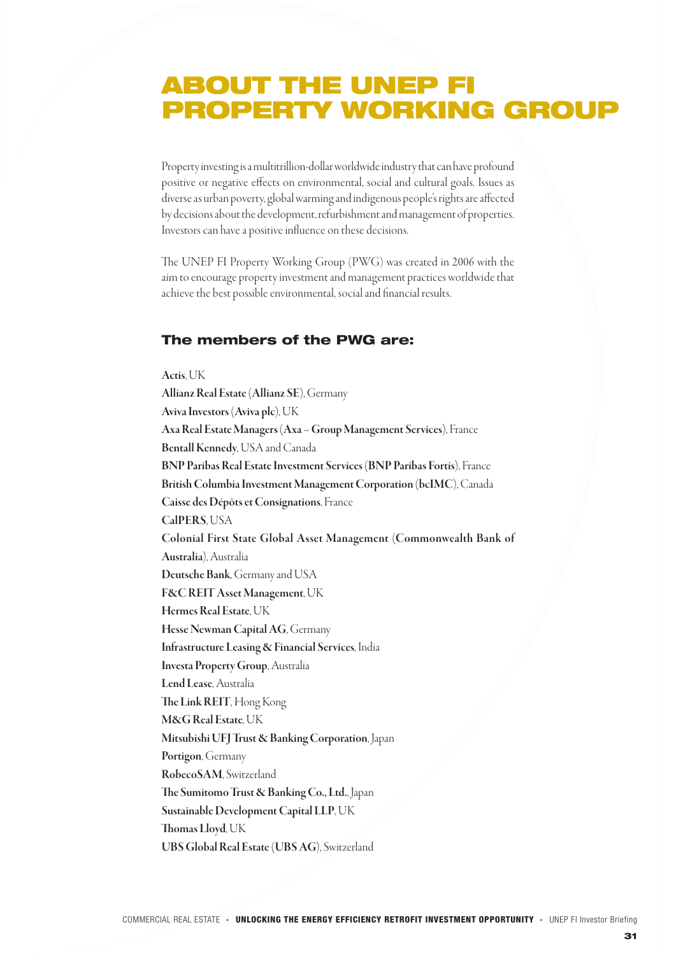### ABOUT THE UNEP FI PROPERTY WORKING GROUP

Property investing is a multitrillion-dollar worldwide industry that can have profound positive or negative effects on environmental, social and cultural goals. Issues as diverse as urban poverty, global warming and indigenous people's rights are affected by decisions about the development, refurbishment and management of properties. Investors can have a positive influence on these decisions.

The UNEP FI Property Working Group (PWG) was created in 2006 with the aim to encourage property investment and management practices worldwide that achieve the best possible environmental, social and financial results.

### The members of the PWG are:

Actis, UK Allianz Real Estate (Allianz SE), Germany Aviva Investors (Aviva plc), UK Axa Real Estate Managers (Axa – Group Management Services), France Bentall Kennedy, USA and Canada BNP Paribas Real Estate Investment Services (BNP Paribas Fortis), France British Columbia Investment Management Corporation (bcIMC), Canada Caisse des Dépôts et Consignations, France CalPERS, USA Colonial First State Global Asset Management (Commonwealth Bank of Australia), Australia Deutsche Bank, Germany and USA F&C REIT Asset Management, UK Hermes Real Estate, UK Hesse Newman Capital AG, Germany Infrastructure Leasing & Financial Services, India Investa Property Group, Australia Lend Lease, Australia The Link REIT, Hong Kong M&G Real Estate, UK Mitsubishi UFJ Trust & Banking Corporation, Japan Portigon, Germany RobecoSAM, Switzerland The Sumitomo Trust & Banking Co., Ltd., Japan Sustainable Development Capital LLP, UK Thomas Lloyd, UK UBS Global Real Estate (UBS AG), Switzerland